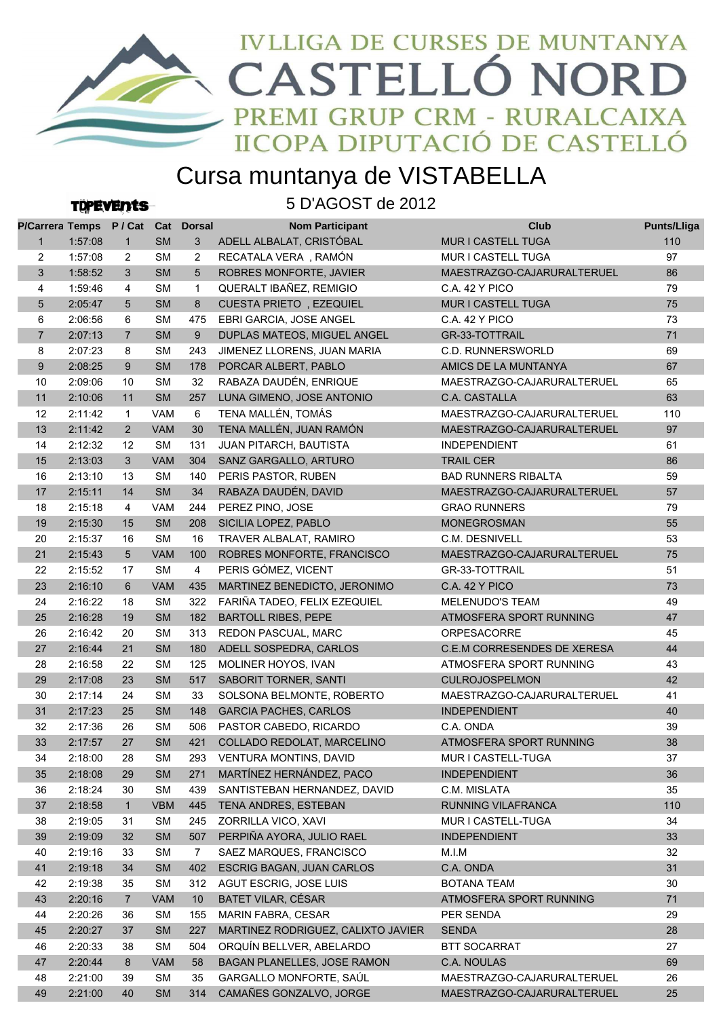

## Cursa muntanya de VISTABELLA

**TOPEVENtS** 

5 D'AGOST de 2012

| P/Carrera Temps P/Cat Cat Dorsal |         |                 |            |                | <b>Nom Participant</b>             | Club                        | <b>Punts/Lliga</b> |
|----------------------------------|---------|-----------------|------------|----------------|------------------------------------|-----------------------------|--------------------|
| $\mathbf{1}$                     | 1:57:08 | $\mathbf{1}$    | <b>SM</b>  | 3              | ADELL ALBALAT, CRISTÓBAL           | <b>MUR I CASTELL TUGA</b>   | 110                |
| $\overline{2}$                   | 1:57:08 | 2               | <b>SM</b>  | $\overline{2}$ | RECATALA VERA, RAMÓN               | MUR I CASTELL TUGA          | 97                 |
| 3                                | 1:58:52 | 3               | <b>SM</b>  | 5              | ROBRES MONFORTE, JAVIER            | MAESTRAZGO-CAJARURALTERUEL  | 86                 |
| 4                                | 1:59:46 | $\overline{4}$  | <b>SM</b>  | $\mathbf{1}$   | QUERALT IBAÑEZ, REMIGIO            | <b>C.A. 42 Y PICO</b>       | 79                 |
| 5                                | 2:05:47 | 5               | <b>SM</b>  | 8              | CUESTA PRIETO, EZEQUIEL            | MUR I CASTELL TUGA          | 75                 |
| 6                                | 2:06:56 | 6               | <b>SM</b>  | 475            | EBRI GARCIA, JOSE ANGEL            | <b>C.A. 42 Y PICO</b>       | 73                 |
| $\overline{7}$                   | 2:07:13 | $\overline{7}$  | <b>SM</b>  | 9              | DUPLAS MATEOS, MIGUEL ANGEL        | <b>GR-33-TOTTRAIL</b>       | 71                 |
| 8                                | 2:07:23 | 8               | <b>SM</b>  | 243            | JIMENEZ LLORENS, JUAN MARIA        | <b>C.D. RUNNERSWORLD</b>    | 69                 |
| 9                                | 2:08:25 | 9               | <b>SM</b>  | 178            | PORCAR ALBERT, PABLO               | AMICS DE LA MUNTANYA        | 67                 |
| 10                               | 2:09:06 | 10              | <b>SM</b>  | 32             | RABAZA DAUDÉN, ENRIQUE             | MAESTRAZGO-CAJARURALTERUEL  | 65                 |
| 11                               | 2:10:06 | 11              | <b>SM</b>  | 257            | LUNA GIMENO, JOSE ANTONIO          | C.A. CASTALLA               | 63                 |
| 12                               | 2:11:42 | $\mathbf{1}$    | VAM        | 6              | TENA MALLÉN, TOMÁS                 | MAESTRAZGO-CAJARURALTERUEL  | 110                |
| 13                               | 2:11:42 | $\overline{2}$  | <b>VAM</b> | 30             | TENA MALLÉN, JUAN RAMÓN            | MAESTRAZGO-CAJARURALTERUEL  | 97                 |
| 14                               | 2:12:32 | 12              | <b>SM</b>  | 131            | JUAN PITARCH, BAUTISTA             | <b>INDEPENDIENT</b>         | 61                 |
| 15                               | 2:13:03 | 3               | <b>VAM</b> | 304            | SANZ GARGALLO, ARTURO              | <b>TRAIL CER</b>            | 86                 |
| 16                               | 2:13:10 | 13              | <b>SM</b>  | 140            | PERIS PASTOR, RUBEN                | <b>BAD RUNNERS RIBALTA</b>  | 59                 |
| 17                               | 2:15:11 | 14              | <b>SM</b>  | 34             | RABAZA DAUDÉN, DAVID               | MAESTRAZGO-CAJARURALTERUEL  | 57                 |
| 18                               | 2:15:18 | 4               | <b>VAM</b> | 244            | PEREZ PINO, JOSE                   | <b>GRAO RUNNERS</b>         | 79                 |
| 19                               | 2:15:30 | 15              | <b>SM</b>  | 208            | SICILIA LOPEZ, PABLO               | <b>MONEGROSMAN</b>          | 55                 |
| 20                               | 2:15:37 | 16              | <b>SM</b>  | 16             | TRAVER ALBALAT, RAMIRO             | C.M. DESNIVELL              | 53                 |
| 21                               | 2:15:43 | $5\overline{)}$ | <b>VAM</b> | 100            | ROBRES MONFORTE, FRANCISCO         | MAESTRAZGO-CAJARURALTERUEL  | 75                 |
| 22                               | 2:15:52 | 17              | <b>SM</b>  | $\overline{4}$ | PERIS GÓMEZ, VICENT                | GR-33-TOTTRAIL              | 51                 |
| 23                               | 2:16:10 | 6               | <b>VAM</b> | 435            | MARTINEZ BENEDICTO, JERONIMO       | <b>C.A. 42 Y PICO</b>       | 73                 |
| 24                               | 2:16:22 | 18              | <b>SM</b>  | 322            | FARIÑA TADEO, FELIX EZEQUIEL       | <b>MELENUDO'S TEAM</b>      | 49                 |
| 25                               | 2:16:28 | 19              | <b>SM</b>  | 182            | <b>BARTOLL RIBES, PEPE</b>         | ATMOSFERA SPORT RUNNING     | 47                 |
| 26                               | 2:16:42 | 20              | <b>SM</b>  | 313            | <b>REDON PASCUAL, MARC</b>         | <b>ORPESACORRE</b>          | 45                 |
| 27                               | 2:16:44 | 21              | <b>SM</b>  | 180            | ADELL SOSPEDRA, CARLOS             | C.E.M CORRESENDES DE XERESA | 44                 |
| 28                               | 2:16:58 | 22              | <b>SM</b>  | 125            | MOLINER HOYOS, IVAN                | ATMOSFERA SPORT RUNNING     | 43                 |
| 29                               | 2:17:08 | 23              | <b>SM</b>  | 517            | SABORIT TORNER, SANTI              | <b>CULROJOSPELMON</b>       | 42                 |
| 30                               | 2:17:14 | 24              | <b>SM</b>  | 33             | SOLSONA BELMONTE, ROBERTO          | MAESTRAZGO-CAJARURALTERUEL  | 41                 |
| 31                               | 2:17:23 | 25              | <b>SM</b>  | 148            | <b>GARCIA PACHES, CARLOS</b>       | <b>INDEPENDIENT</b>         | 40                 |
| 32                               | 2:17:36 | 26              | <b>SM</b>  | 506            | PASTOR CABEDO, RICARDO             | C.A. ONDA                   | 39                 |
| 33                               | 2:17:57 | 27              | <b>SM</b>  | 421            | COLLADO REDOLAT, MARCELINO         | ATMOSFERA SPORT RUNNING     | 38                 |
| 34                               | 2:18:00 | 28              | SM         |                | 293 VENTURA MONTINS, DAVID         | MUR I CASTELL-TUGA          | 37                 |
| 35                               | 2:18:08 | 29              | <b>SM</b>  | 271            | MARTÍNEZ HERNÁNDEZ, PACO           | <b>INDEPENDIENT</b>         | 36                 |
| 36                               | 2:18:24 | 30              | <b>SM</b>  | 439            | SANTISTEBAN HERNANDEZ, DAVID       | C.M. MISLATA                | 35                 |
| 37                               | 2:18:58 | $\mathbf{1}$    | <b>VBM</b> | 445            | TENA ANDRES, ESTEBAN               | RUNNING VILAFRANCA          | 110                |
| 38                               | 2:19:05 | 31              | <b>SM</b>  | 245            | ZORRILLA VICO, XAVI                | MUR I CASTELL-TUGA          | 34                 |
| 39                               | 2:19:09 | 32              | <b>SM</b>  | 507            | PERPIÑA AYORA, JULIO RAEL          | <b>INDEPENDIENT</b>         | 33                 |
| 40                               | 2:19:16 | 33              | <b>SM</b>  | 7              | SAEZ MARQUES, FRANCISCO            | M.I.M                       | 32                 |
| 41                               | 2:19:18 | 34              | <b>SM</b>  | 402            | ESCRIG BAGAN, JUAN CARLOS          | C.A. ONDA                   | 31                 |
| 42                               | 2:19:38 | 35              | <b>SM</b>  | 312            | AGUT ESCRIG, JOSE LUIS             | <b>BOTANA TEAM</b>          | 30                 |
| 43                               | 2:20:16 | $\overline{7}$  | VAM        | 10             | BATET VILAR, CÉSAR                 | ATMOSFERA SPORT RUNNING     | 71                 |
| 44                               | 2:20:26 | 36              | <b>SM</b>  | 155            | MARIN FABRA, CESAR                 | PER SENDA                   | 29                 |
| 45                               | 2:20:27 | 37              | <b>SM</b>  | 227            | MARTINEZ RODRIGUEZ, CALIXTO JAVIER | <b>SENDA</b>                | 28                 |
| 46                               | 2:20:33 | 38              | <b>SM</b>  | 504            | ORQUÍN BELLVER, ABELARDO           | <b>BTT SOCARRAT</b>         | 27                 |
| 47                               | 2:20:44 | 8               | VAM        | 58             | BAGAN PLANELLES, JOSE RAMON        | C.A. NOULAS                 | 69                 |
| 48                               | 2:21:00 | 39              | <b>SM</b>  | 35             | GARGALLO MONFORTE, SAÚL            | MAESTRAZGO-CAJARURALTERUEL  | 26                 |
| 49                               | 2:21:00 | 40              | <b>SM</b>  | 314            | CAMAÑES GONZALVO, JORGE            | MAESTRAZGO-CAJARURALTERUEL  | 25                 |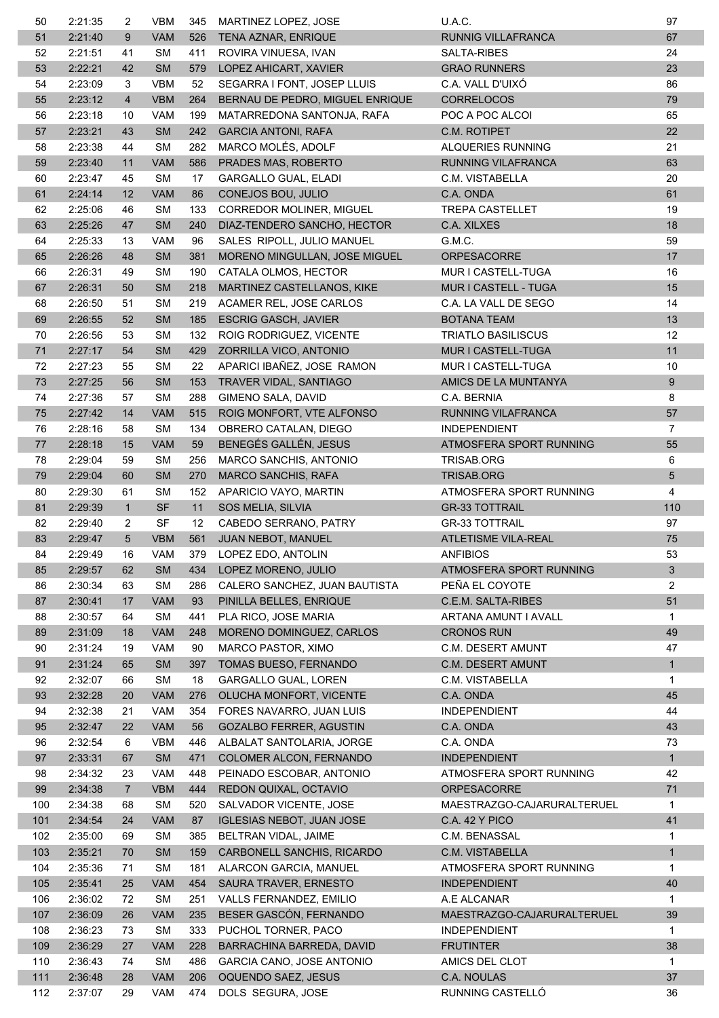| 50       | 2:21:35            | 2                 | VBM             | 345       | MARTINEZ LOPEZ, JOSE                       | U.A.C.                                         | 97             |
|----------|--------------------|-------------------|-----------------|-----------|--------------------------------------------|------------------------------------------------|----------------|
| 51       | 2:21:40            | 9                 | <b>VAM</b>      | 526       | TENA AZNAR, ENRIQUE                        | RUNNIG VILLAFRANCA                             | 67             |
| 52       | 2:21:51            | 41                | <b>SM</b>       | 411       | ROVIRA VINUESA, IVAN                       | SALTA-RIBES                                    | 24             |
| 53       | 2:22:21            | 42                | <b>SM</b>       | 579       | LOPEZ AHICART, XAVIER                      | <b>GRAO RUNNERS</b>                            | 23             |
| 54       | 2:23:09            | 3                 | <b>VBM</b>      | 52        | SEGARRA I FONT, JOSEP LLUIS                | C.A. VALL D'UIXÓ                               | 86             |
| 55       | 2:23:12            | $\overline{4}$    | <b>VBM</b>      | 264       | BERNAU DE PEDRO, MIGUEL ENRIQUE            | <b>CORRELOCOS</b>                              | 79             |
| 56       | 2:23:18            | 10                | <b>VAM</b>      | 199       | MATARREDONA SANTONJA, RAFA                 | POC A POC ALCOI                                | 65             |
| 57       | 2:23:21            | 43                | <b>SM</b>       | 242       | <b>GARCIA ANTONI, RAFA</b>                 | C.M. ROTIPET                                   | 22             |
| 58       | 2:23:38            | 44                | <b>SM</b>       | 282       | MARCO MOLÉS, ADOLF                         | ALQUERIES RUNNING                              | 21             |
| 59       | 2:23:40            | 11                | <b>VAM</b>      | 586       | PRADES MAS, ROBERTO                        | RUNNING VILAFRANCA                             | 63             |
| 60       | 2:23:47            | 45                | <b>SM</b>       | 17        | <b>GARGALLO GUAL, ELADI</b>                | C.M. VISTABELLA                                | 20             |
| 61       | 2:24:14            | 12                | <b>VAM</b>      | 86        | CONEJOS BOU, JULIO                         | C.A. ONDA                                      | 61             |
| 62       | 2:25:06            | 46                | <b>SM</b>       | 133       | CORREDOR MOLINER, MIGUEL                   | <b>TREPA CASTELLET</b>                         | 19             |
| 63       | 2:25:26            | 47                | <b>SM</b>       | 240       | DIAZ-TENDERO SANCHO, HECTOR                | C.A. XILXES                                    | 18             |
| 64       | 2:25:33            | 13                | <b>VAM</b>      | 96        | SALES RIPOLL, JULIO MANUEL                 | G.M.C.                                         | 59             |
| 65       | 2:26:26            | 48                | <b>SM</b>       | 381       | MORENO MINGULLAN, JOSE MIGUEL              | <b>ORPESACORRE</b>                             | 17             |
| 66       | 2:26:31            | 49                | <b>SM</b>       | 190       | CATALA OLMOS, HECTOR                       | MUR I CASTELL-TUGA                             | 16             |
| 67       | 2:26:31            | 50                | <b>SM</b>       | 218       | MARTINEZ CASTELLANOS, KIKE                 | MUR I CASTELL - TUGA                           | 15             |
| 68       | 2:26:50            | 51                | <b>SM</b>       | 219       | ACAMER REL, JOSE CARLOS                    | C.A. LA VALL DE SEGO                           | 14             |
| 69       | 2:26:55            | 52                | <b>SM</b>       | 185       | <b>ESCRIG GASCH, JAVIER</b>                | <b>BOTANA TEAM</b>                             | 13             |
| 70       | 2:26:56            | 53                | <b>SM</b>       | 132       | ROIG RODRIGUEZ, VICENTE                    | <b>TRIATLO BASILISCUS</b>                      | 12             |
| 71       | 2:27:17            | 54                | <b>SM</b>       | 429       | ZORRILLA VICO, ANTONIO                     | MUR I CASTELL-TUGA                             | 11             |
| 72       | 2:27:23            | 55                | <b>SM</b>       | 22        | APARICI IBAÑEZ, JOSE RAMON                 | MUR I CASTELL-TUGA                             | 10             |
| 73       | 2:27:25            | 56                | SM              | 153       | TRAVER VIDAL, SANTIAGO                     | AMICS DE LA MUNTANYA                           | 9              |
| 74       | 2:27:36            | 57                | <b>SM</b>       | 288       | GIMENO SALA, DAVID                         | C.A. BERNIA                                    | 8              |
| 75       | 2:27:42            | 14                | <b>VAM</b>      | 515       | ROIG MONFORT, VTE ALFONSO                  | RUNNING VILAFRANCA                             | 57             |
| 76       | 2:28:16            | 58                | SM              | 134       | OBRERO CATALAN, DIEGO                      | <b>INDEPENDIENT</b>                            | 7              |
| 77       | 2:28:18            | 15                | <b>VAM</b>      | 59        |                                            | ATMOSFERA SPORT RUNNING                        | 55             |
|          |                    |                   | <b>SM</b>       |           | BENEGÉS GALLÉN, JESUS                      |                                                |                |
| 78       | 2:29:04            | 59                |                 | 256       | MARCO SANCHIS, ANTONIO                     | TRISAB.ORG                                     | 6              |
| 79<br>80 | 2:29:04            | 60                | SM<br><b>SM</b> | 270       | <b>MARCO SANCHIS, RAFA</b>                 | TRISAB.ORG<br>ATMOSFERA SPORT RUNNING          | 5              |
|          | 2:29:30            | 61                | <b>SF</b>       | 152<br>11 | APARICIO VAYO, MARTIN                      |                                                | 4              |
| 81<br>82 | 2:29:39<br>2:29:40 | $\mathbf{1}$<br>2 | <b>SF</b>       | 12        | SOS MELIA, SILVIA<br>CABEDO SERRANO, PATRY | <b>GR-33 TOTTRAIL</b><br><b>GR-33 TOTTRAIL</b> | 110<br>97      |
| 83       | 2:29:47            | $5^{\circ}$       | <b>VBM</b>      | 561       | JUAN NEBOT, MANUEL                         | <b>ATLETISME VILA-REAL</b>                     | 75             |
| 84       | 2:29:49            | 16                | VAM             | 379       | LOPEZ EDO, ANTOLIN                         | ANFIBIOS                                       | 53             |
| 85       | 2:29:57            | 62                | <b>SM</b>       | 434       | LOPEZ MORENO, JULIO                        | ATMOSFERA SPORT RUNNING                        | 3              |
|          |                    |                   | <b>SM</b>       |           | CALERO SANCHEZ, JUAN BAUTISTA              | PEÑA EL COYOTE                                 | $\overline{2}$ |
| 86       | 2:30:34            | 63                |                 | 286<br>93 |                                            |                                                |                |
| 87       | 2:30:41            | 17                | <b>VAM</b>      |           | PINILLA BELLES, ENRIQUE                    | C.E.M. SALTA-RIBES                             | 51             |
| 88       | 2:30:57            | 64                | <b>SM</b>       | 441       | PLA RICO, JOSE MARIA                       | ARTANA AMUNT I AVALL                           | 1              |
| 89       | 2:31:09            | 18                | <b>VAM</b>      | 248       | MORENO DOMINGUEZ, CARLOS                   | <b>CRONOS RUN</b>                              | 49             |
| 90       | 2:31:24            | 19                | <b>VAM</b>      | 90        | MARCO PASTOR, XIMO                         | <b>C.M. DESERT AMUNT</b>                       | 47             |
| 91       | 2:31:24            | 65                | <b>SM</b>       | 397       | TOMAS BUESO, FERNANDO                      | <b>C.M. DESERT AMUNT</b>                       | $\mathbf{1}$   |
| 92       | 2:32:07            | 66                | <b>SM</b>       | 18        | <b>GARGALLO GUAL, LOREN</b>                | C.M. VISTABELLA                                | 1              |
| 93       | 2:32:28            | 20                | <b>VAM</b>      | 276       | OLUCHA MONFORT, VICENTE                    | C.A. ONDA                                      | 45             |
| 94       | 2:32:38            | 21                | <b>VAM</b>      | 354       | FORES NAVARRO, JUAN LUIS                   | <b>INDEPENDIENT</b>                            | 44             |
| 95       | 2:32:47            | 22                | <b>VAM</b>      | 56        | <b>GOZALBO FERRER, AGUSTIN</b>             | C.A. ONDA                                      | 43             |
| 96       | 2:32:54            | 6                 | <b>VBM</b>      | 446       | ALBALAT SANTOLARIA, JORGE                  | C.A. ONDA                                      | 73             |
| 97       | 2:33:31            | 67                | SM              | 471       | COLOMER ALCON, FERNANDO                    | <b>INDEPENDIENT</b>                            | $\mathbf{1}$   |
| 98       | 2:34:32            | 23                | VAM             | 448       | PEINADO ESCOBAR, ANTONIO                   | ATMOSFERA SPORT RUNNING                        | 42             |
| 99       | 2:34:38            | $\overline{7}$    | <b>VBM</b>      | 444       | REDON QUIXAL, OCTAVIO                      | ORPESACORRE                                    | 71             |
| 100      | 2:34:38            | 68                | <b>SM</b>       | 520       | SALVADOR VICENTE, JOSE                     | MAESTRAZGO-CAJARURALTERUEL                     | 1              |
| 101      | 2:34:54            | 24                | VAM             | 87        | <b>IGLESIAS NEBOT, JUAN JOSE</b>           | <b>C.A. 42 Y PICO</b>                          | 41             |
| 102      | 2:35:00            | 69                | <b>SM</b>       | 385       | BELTRAN VIDAL, JAIME                       | C.M. BENASSAL                                  | 1              |
| 103      | 2:35:21            | 70                | <b>SM</b>       | 159       | CARBONELL SANCHIS, RICARDO                 | C.M. VISTABELLA                                | $\mathbf{1}$   |
| 104      | 2:35:36            | 71                | SM              | 181       | ALARCON GARCIA, MANUEL                     | ATMOSFERA SPORT RUNNING                        | 1              |
| 105      | 2:35:41            | 25                | <b>VAM</b>      | 454       | SAURA TRAVER, ERNESTO                      | <b>INDEPENDIENT</b>                            | 40             |
| 106      | 2:36:02            | 72                | <b>SM</b>       | 251       | VALLS FERNANDEZ, EMILIO                    | A.E ALCANAR                                    | 1              |
| 107      | 2:36:09            | 26                | <b>VAM</b>      | 235       | BESER GASCÓN, FERNANDO                     | MAESTRAZGO-CAJARURALTERUEL                     | 39             |
| 108      | 2:36:23            | 73                | <b>SM</b>       | 333       | PUCHOL TORNER, PACO                        | <b>INDEPENDIENT</b>                            | $\mathbf{1}$   |
| 109      | 2:36:29            | 27                | <b>VAM</b>      | 228       | BARRACHINA BARREDA, DAVID                  | <b>FRUTINTER</b>                               | 38             |
| 110      | 2:36:43            | 74                | <b>SM</b>       | 486       | GARCIA CANO, JOSE ANTONIO                  | AMICS DEL CLOT                                 | 1              |
| 111      | 2:36:48            | 28                | <b>VAM</b>      | 206       | OQUENDO SAEZ, JESUS                        | C.A. NOULAS                                    | 37             |
| 112      | 2:37:07            | 29                | VAM             | 474       | DOLS SEGURA, JOSE                          | RUNNING CASTELLÓ                               | 36             |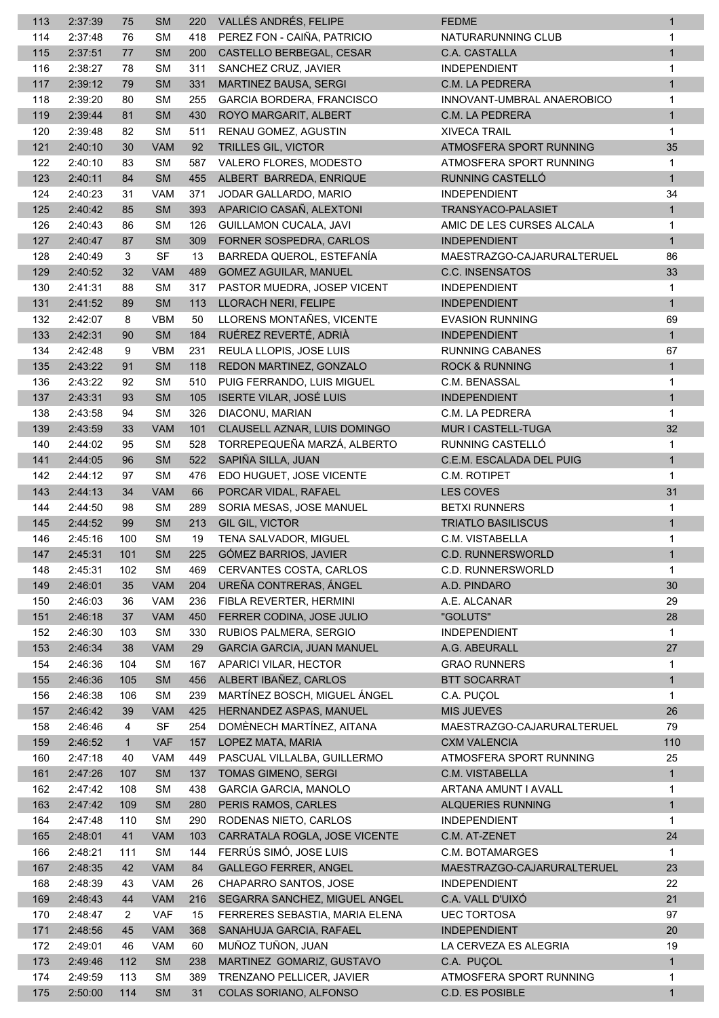| 113        | 2:37:39 | 75           | <b>SM</b>  | 220 | VALLÉS ANDRÉS, FELIPE             | <b>FEDME</b>               | $\mathbf{1}$                 |
|------------|---------|--------------|------------|-----|-----------------------------------|----------------------------|------------------------------|
| 114        | 2:37:48 | 76           | <b>SM</b>  | 418 | PEREZ FON - CAIÑA, PATRICIO       | NATURARUNNING CLUB         | 1                            |
| 115        | 2:37:51 | 77           | <b>SM</b>  | 200 | CASTELLO BERBEGAL, CESAR          | C.A. CASTALLA              | $\mathbf{1}$                 |
| 116        | 2:38:27 | 78           | <b>SM</b>  | 311 | SANCHEZ CRUZ, JAVIER              | <b>INDEPENDIENT</b>        | 1                            |
| 117        | 2:39:12 | 79           | <b>SM</b>  | 331 | <b>MARTINEZ BAUSA, SERGI</b>      | C.M. LA PEDRERA            | $\mathbf{1}$                 |
| 118        | 2:39:20 | 80           | <b>SM</b>  | 255 | <b>GARCIA BORDERA, FRANCISCO</b>  | INNOVANT-UMBRAL ANAEROBICO | 1                            |
| 119        | 2:39:44 | 81           | <b>SM</b>  | 430 | ROYO MARGARIT, ALBERT             | C.M. LA PEDRERA            | $\mathbf{1}$                 |
| 120        | 2:39:48 | 82           | <b>SM</b>  | 511 | RENAU GOMEZ, AGUSTIN              | <b>XIVECA TRAIL</b>        | 1                            |
| 121        | 2:40:10 | 30           | <b>VAM</b> | 92  | <b>TRILLES GIL, VICTOR</b>        | ATMOSFERA SPORT RUNNING    | 35                           |
| 122        | 2:40:10 | 83           | <b>SM</b>  | 587 | VALERO FLORES, MODESTO            | ATMOSFERA SPORT RUNNING    | 1                            |
| 123        | 2:40:11 | 84           | <b>SM</b>  | 455 | ALBERT BARREDA, ENRIQUE           | RUNNING CASTELLÓ           | $\mathbf{1}$                 |
| 124        | 2:40:23 | 31           | <b>VAM</b> | 371 | JODAR GALLARDO, MARIO             | <b>INDEPENDIENT</b>        | 34                           |
| 125        | 2:40:42 | 85           | <b>SM</b>  | 393 | APARICIO CASAÑ, ALEXTONI          | TRANSYACO-PALASIET         | $\mathbf{1}$                 |
| 126        | 2:40:43 | 86           | <b>SM</b>  | 126 | GUILLAMON CUCALA, JAVI            | AMIC DE LES CURSES ALCALA  | 1                            |
| 127        | 2:40:47 | 87           | <b>SM</b>  | 309 | FORNER SOSPEDRA, CARLOS           | <b>INDEPENDIENT</b>        | 1                            |
| 128        | 2:40:49 | 3            | <b>SF</b>  | 13  | BARREDA QUEROL, ESTEFANÍA         | MAESTRAZGO-CAJARURALTERUEL | 86                           |
| 129        | 2:40:52 | 32           | <b>VAM</b> | 489 | <b>GOMEZ AGUILAR, MANUEL</b>      | C.C. INSENSATOS            | 33                           |
| 130        | 2:41:31 | 88           | <b>SM</b>  | 317 | PASTOR MUEDRA, JOSEP VICENT       | <b>INDEPENDIENT</b>        | 1                            |
| 131        | 2:41:52 | 89           | <b>SM</b>  | 113 | LLORACH NERI, FELIPE              | <b>INDEPENDIENT</b>        | $\mathbf{1}$                 |
| 132        | 2:42:07 | 8            | <b>VBM</b> | 50  | LLORENS MONTAÑES, VICENTE         | <b>EVASION RUNNING</b>     | 69                           |
| 133        | 2:42:31 | 90           | <b>SM</b>  | 184 | RUÉREZ REVERTÉ, ADRIÀ             | <b>INDEPENDIENT</b>        | $\mathbf{1}$                 |
| 134        | 2:42:48 | 9            | <b>VBM</b> | 231 | REULA LLOPIS, JOSE LUIS           | <b>RUNNING CABANES</b>     | 67                           |
| 135        | 2:43:22 | 91           | <b>SM</b>  | 118 | REDON MARTINEZ, GONZALO           | <b>ROCK &amp; RUNNING</b>  | $\mathbf{1}$                 |
| 136        | 2:43:22 | 92           | <b>SM</b>  | 510 | PUIG FERRANDO, LUIS MIGUEL        | C.M. BENASSAL              | 1                            |
| 137        | 2:43:31 | 93           | <b>SM</b>  | 105 | <b>ISERTE VILAR, JOSÉ LUIS</b>    | <b>INDEPENDIENT</b>        | $\mathbf{1}$                 |
| 138        | 2:43:58 | 94           | <b>SM</b>  | 326 | DIACONU, MARIAN                   | C.M. LA PEDRERA            | 1                            |
| 139        | 2:43:59 | 33           | <b>VAM</b> | 101 | CLAUSELL AZNAR, LUIS DOMINGO      | MUR I CASTELL-TUGA         | 32                           |
| 140        | 2:44:02 | 95           | <b>SM</b>  | 528 | TORREPEQUEÑA MARZÁ, ALBERTO       | RUNNING CASTELLÓ           | $\mathbf{1}$                 |
| 141        | 2:44:05 | 96           | <b>SM</b>  | 522 | SAPIÑA SILLA, JUAN                | C.E.M. ESCALADA DEL PUIG   | $\mathbf{1}$                 |
| 142        | 2:44:12 | 97           | <b>SM</b>  | 476 | EDO HUGUET, JOSE VICENTE          | C.M. ROTIPET               | 1                            |
| 143        | 2:44:13 | 34           | <b>VAM</b> | 66  | PORCAR VIDAL, RAFAEL              | <b>LES COVES</b>           | 31                           |
| 144        | 2:44:50 | 98           | <b>SM</b>  | 289 | SORIA MESAS, JOSE MANUEL          | <b>BETXI RUNNERS</b>       | 1                            |
| 145        | 2:44:52 | 99           | <b>SM</b>  | 213 | GIL GIL, VICTOR                   | <b>TRIATLO BASILISCUS</b>  | $\mathbf{1}$                 |
| 146        | 2:45:16 | 100          | <b>SM</b>  | 19  | TENA SALVADOR, MIGUEL             | C.M. VISTABELLA            | $\mathbf{1}$                 |
| 147        | 2:45:31 | 101          | ${\sf SM}$ |     | 225 GÓMEZ BARRIOS, JAVIER         | C.D. RUNNERSWORLD          | $\mathbf{1}$                 |
| 148        | 2:45:31 | 102          | <b>SM</b>  | 469 | CERVANTES COSTA, CARLOS           | C.D. RUNNERSWORLD          | 1                            |
| 149        | 2:46:01 | 35           | <b>VAM</b> | 204 | UREÑA CONTRERAS, ÁNGEL            | A.D. PINDARO               | 30                           |
| 150        | 2:46:03 | 36           | <b>VAM</b> | 236 | FIBLA REVERTER, HERMINI           | A.E. ALCANAR               | 29                           |
| 151        | 2:46:18 | 37           | <b>VAM</b> | 450 | FERRER CODINA, JOSE JULIO         | "GOLUTS"                   | 28                           |
| 152        | 2:46:30 | 103          | <b>SM</b>  | 330 | RUBIOS PALMERA, SERGIO            | <b>INDEPENDIENT</b>        | $\mathbf{1}$                 |
| 153        | 2:46:34 | 38           | <b>VAM</b> | 29  | <b>GARCIA GARCIA, JUAN MANUEL</b> | A.G. ABEURALL              | 27                           |
| 154        | 2:46:36 | 104          | <b>SM</b>  | 167 | APARICI VILAR, HECTOR             | <b>GRAO RUNNERS</b>        | 1                            |
| 155        | 2:46:36 | 105          | <b>SM</b>  | 456 | ALBERT IBAÑEZ, CARLOS             | <b>BTT SOCARRAT</b>        | $\mathbf{1}$                 |
| 156        | 2:46:38 | 106          | <b>SM</b>  | 239 | MARTÍNEZ BOSCH, MIGUEL ÁNGEL      | C.A. PUÇOL                 | 1                            |
| 157        | 2:46:42 | 39           | <b>VAM</b> | 425 | HERNANDEZ ASPAS, MANUEL           | <b>MIS JUEVES</b>          | 26                           |
| 158        | 2:46:46 | 4            | <b>SF</b>  | 254 | DOMÈNECH MARTÍNEZ, AITANA         | MAESTRAZGO-CAJARURALTERUEL | 79                           |
| 159        | 2:46:52 | $\mathbf{1}$ | <b>VAF</b> | 157 | LOPEZ MATA, MARIA                 | <b>CXM VALENCIA</b>        | 110                          |
| 160        | 2:47:18 | 40           | <b>VAM</b> | 449 | PASCUAL VILLALBA, GUILLERMO       | ATMOSFERA SPORT RUNNING    | 25                           |
| 161        | 2:47:26 | 107          | <b>SM</b>  | 137 | TOMAS GIMENO, SERGI               | C.M. VISTABELLA            | $\mathbf{1}$                 |
| 162        | 2:47:42 | 108          | <b>SM</b>  | 438 | GARCIA GARCIA, MANOLO             | ARTANA AMUNT I AVALL       | 1                            |
|            | 2:47:42 | 109          | <b>SM</b>  | 280 | PERIS RAMOS, CARLES               | <b>ALQUERIES RUNNING</b>   |                              |
| 163<br>164 | 2:47:48 | 110          | <b>SM</b>  | 290 | RODENAS NIETO, CARLOS             | <b>INDEPENDIENT</b>        | $\mathbf{1}$<br>$\mathbf{1}$ |
|            |         | 41           | <b>VAM</b> | 103 | CARRATALA ROGLA, JOSE VICENTE     | C.M. AT-ZENET              | 24                           |
| 165        | 2:48:01 |              | <b>SM</b>  | 144 | FERRÚS SIMÓ, JOSE LUIS            | C.M. BOTAMARGES            | 1                            |
| 166        | 2:48:21 | 111          |            |     |                                   |                            |                              |
| 167        | 2:48:35 | 42           | <b>VAM</b> | 84  | <b>GALLEGO FERRER, ANGEL</b>      | MAESTRAZGO-CAJARURALTERUEL | 23                           |
| 168        | 2:48:39 | 43           | <b>VAM</b> | 26  | CHAPARRO SANTOS, JOSE             | <b>INDEPENDIENT</b>        | 22                           |
| 169        | 2:48:43 | 44           | <b>VAM</b> | 216 | SEGARRA SANCHEZ, MIGUEL ANGEL     | C.A. VALL D'UIXÓ           | 21                           |
| 170        | 2:48:47 | 2            | <b>VAF</b> | 15  | FERRERES SEBASTIA, MARIA ELENA    | <b>UEC TORTOSA</b>         | 97                           |
| 171        | 2:48:56 | 45           | <b>VAM</b> | 368 | SANAHUJA GARCIA, RAFAEL           | <b>INDEPENDIENT</b>        | 20                           |
| 172        | 2:49:01 | 46           | <b>VAM</b> | 60  | MUÑOZ TUÑON, JUAN                 | LA CERVEZA ES ALEGRIA      | 19                           |
| 173        | 2:49:46 | 112          | <b>SM</b>  | 238 | MARTINEZ GOMARIZ, GUSTAVO         | C.A. PUÇOL                 | $\mathbf{1}$                 |
| 174        | 2:49:59 | 113          | <b>SM</b>  | 389 | TRENZANO PELLICER, JAVIER         | ATMOSFERA SPORT RUNNING    | 1                            |
| 175        | 2:50:00 | 114          | <b>SM</b>  | 31  | COLAS SORIANO, ALFONSO            | <b>C.D. ES POSIBLE</b>     | $\mathbf{1}$                 |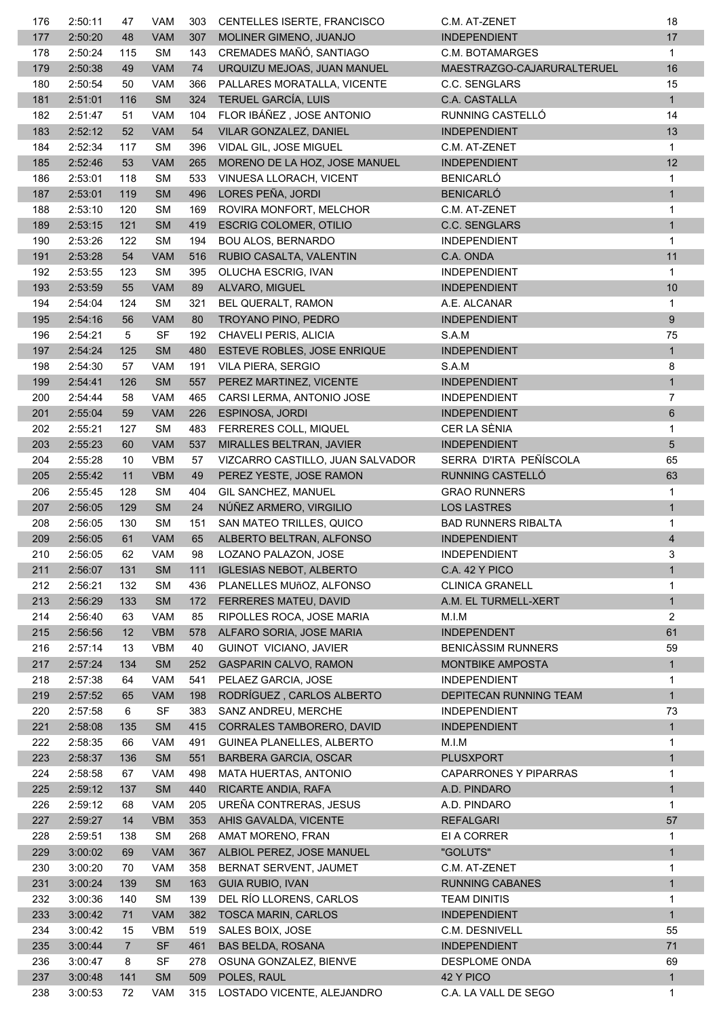| 176        | 2:50:11            | 47             | <b>VAM</b>              | 303        | CENTELLES ISERTE, FRANCISCO                | C.M. AT-ZENET                   | 18                      |
|------------|--------------------|----------------|-------------------------|------------|--------------------------------------------|---------------------------------|-------------------------|
| 177        | 2:50:20            | 48             | <b>VAM</b>              | 307        | MOLINER GIMENO, JUANJO                     | <b>INDEPENDIENT</b>             | 17                      |
| 178        | 2:50:24            | 115            | <b>SM</b>               | 143        | CREMADES MAÑÓ, SANTIAGO                    | C.M. BOTAMARGES                 | $\mathbf{1}$            |
| 179        | 2:50:38            | 49             | <b>VAM</b>              | 74         | URQUIZU MEJOAS, JUAN MANUEL                | MAESTRAZGO-CAJARURALTERUEL      | 16                      |
| 180        | 2:50:54            | 50             | <b>VAM</b>              | 366        | PALLARES MORATALLA, VICENTE                | C.C. SENGLARS                   | 15                      |
| 181        | 2:51:01            | 116            | <b>SM</b>               | 324        | TERUEL GARCÍA, LUIS                        | C.A. CASTALLA                   | 1                       |
| 182        | 2:51:47            | 51             | <b>VAM</b>              | 104        | FLOR IBÁÑEZ, JOSE ANTONIO                  | RUNNING CASTELLÓ                | 14                      |
| 183        | 2:52:12            | 52             | <b>VAM</b>              | 54         | VILAR GONZALEZ, DANIEL                     | <b>INDEPENDIENT</b>             | 13                      |
| 184        | 2:52:34            | 117            | <b>SM</b>               | 396        | VIDAL GIL, JOSE MIGUEL                     | C.M. AT-ZENET                   | $\mathbf{1}$            |
| 185        | 2:52:46            | 53             | <b>VAM</b>              | 265        | MORENO DE LA HOZ, JOSE MANUEL              | <b>INDEPENDIENT</b>             | 12                      |
| 186        | 2:53:01            | 118            | <b>SM</b>               | 533        | VINUESA LLORACH, VICENT                    | <b>BENICARLÓ</b>                | 1                       |
| 187        | 2:53:01            | 119            | <b>SM</b>               | 496        | LORES PEÑA, JORDI                          | <b>BENICARLÓ</b>                | $\mathbf{1}$            |
| 188        | 2:53:10            | 120            | <b>SM</b>               | 169        | ROVIRA MONFORT, MELCHOR                    | C.M. AT-ZENET                   | 1                       |
| 189        | 2:53:15            | 121            | <b>SM</b>               | 419        | <b>ESCRIG COLOMER, OTILIO</b>              | <b>C.C. SENGLARS</b>            | $\mathbf{1}$            |
| 190        | 2:53:26            | 122            | <b>SM</b>               | 194        | <b>BOU ALOS, BERNARDO</b>                  | <b>INDEPENDIENT</b>             | 1                       |
| 191        | 2:53:28            | 54             | <b>VAM</b>              | 516        | RUBIO CASALTA, VALENTIN                    | C.A. ONDA                       | 11                      |
| 192        | 2:53:55            | 123            | <b>SM</b>               | 395        | OLUCHA ESCRIG, IVAN                        | <b>INDEPENDIENT</b>             | 1                       |
| 193        | 2:53:59            | 55             | <b>VAM</b>              | 89         | ALVARO, MIGUEL                             | <b>INDEPENDIENT</b>             | 10                      |
| 194        | 2:54:04            | 124            | <b>SM</b>               | 321        | BEL QUERALT, RAMON                         | A.E. ALCANAR                    | 1                       |
| 195        | 2:54:16            | 56             | VAM                     | 80         | TROYANO PINO, PEDRO                        | <b>INDEPENDIENT</b>             | 9                       |
| 196        | 2:54:21            | 5              | <b>SF</b>               | 192        | CHAVELI PERIS, ALICIA                      | S.A.M                           | 75                      |
| 197        | 2:54:24            | 125            | <b>SM</b>               | 480        | ESTEVE ROBLES, JOSE ENRIQUE                | <b>INDEPENDIENT</b>             | $\mathbf{1}$            |
| 198        | 2:54:30            | 57             | <b>VAM</b>              | 191        | VILA PIERA, SERGIO                         | S.A.M                           | 8                       |
| 199        | 2:54:41            | 126            | <b>SM</b>               | 557        | PEREZ MARTINEZ, VICENTE                    | <b>INDEPENDIENT</b>             | $\mathbf{1}$            |
| 200        | 2:54:44            | 58             | <b>VAM</b>              | 465        | CARSI LERMA, ANTONIO JOSE                  | <b>INDEPENDIENT</b>             | $\overline{7}$          |
| 201        | 2:55:04            | 59             | <b>VAM</b>              | 226        | ESPINOSA, JORDI                            | <b>INDEPENDIENT</b>             | 6                       |
| 202        | 2:55:21            | 127            | <b>SM</b>               | 483        | <b>FERRERES COLL, MIQUEL</b>               | CER LA SÈNIA                    | $\mathbf 1$             |
| 203        | 2:55:23            | 60             | <b>VAM</b>              | 537        | MIRALLES BELTRAN, JAVIER                   | <b>INDEPENDIENT</b>             | 5                       |
| 204        | 2:55:28            | 10             | <b>VBM</b>              | 57         | VIZCARRO CASTILLO, JUAN SALVADOR           | SERRA D'IRTA PEÑÍSCOLA          | 65                      |
| 205        | 2:55:42            | 11             | <b>VBM</b>              | 49         | PEREZ YESTE, JOSE RAMON                    | RUNNING CASTELLÓ                | 63                      |
| 206        | 2:55:45            | 128            | <b>SM</b>               | 404        | GIL SANCHEZ, MANUEL                        | <b>GRAO RUNNERS</b>             | 1                       |
| 207        | 2:56:05            | 129            | <b>SM</b>               | 24         | NÚÑEZ ARMERO, VIRGILIO                     | <b>LOS LASTRES</b>              | $\mathbf{1}$            |
| 208        | 2:56:05            | 130            | <b>SM</b>               | 151        | SAN MATEO TRILLES, QUICO                   | <b>BAD RUNNERS RIBALTA</b>      | 1                       |
| 209        | 2:56:05            | 61             | <b>VAM</b>              | 65         | ALBERTO BELTRAN, ALFONSO                   | <b>INDEPENDIENT</b>             | $\overline{\mathbf{4}}$ |
| 210        | 2:56:05            | 62             | <b>VAM</b>              | 98         | LOZANO PALAZON, JOSE                       | <b>INDEPENDIENT</b>             | 3                       |
| 211        | 2:56:07            | 131            | <b>SM</b>               | 111        | <b>IGLESIAS NEBOT, ALBERTO</b>             | <b>C.A. 42 Y PICO</b>           | $\mathbf{1}$            |
| 212        | 2:56:21            | 132            | <b>SM</b>               | 436        | PLANELLES MUñOZ. ALFONSO                   | <b>CLINICA GRANELL</b>          | 1                       |
| 213        | 2:56:29            | 133            | <b>SM</b>               | 172        | FERRERES MATEU, DAVID                      | A.M. EL TURMELL-XERT            | $\mathbf{1}$            |
| 214        | 2:56:40            | 63             | <b>VAM</b>              | 85         | RIPOLLES ROCA, JOSE MARIA                  | M.I.M                           | $\overline{2}$          |
| 215        | 2:56:56            | 12             | <b>VBM</b>              | 578        | ALFARO SORIA, JOSE MARIA                   | <b>INDEPENDENT</b>              | 61                      |
| 216        | 2:57:14            | 13             | <b>VBM</b>              | 40         | <b>GUINOT VICIANO, JAVIER</b>              | <b>BENICASSIM RUNNERS</b>       | 59                      |
| 217        | 2:57:24            | 134            | <b>SM</b>               | 252        | <b>GASPARIN CALVO, RAMON</b>               | MONTBIKE AMPOSTA                | $\mathbf{1}$            |
| 218        | 2:57:38            | 64             | <b>VAM</b>              | 541        | PELAEZ GARCIA, JOSE                        | <b>INDEPENDIENT</b>             | 1                       |
| 219        | 2:57:52            | 65             | <b>VAM</b>              | 198        | RODRÍGUEZ, CARLOS ALBERTO                  | DEPITECAN RUNNING TEAM          | $\mathbf{1}$            |
| 220        | 2:57:58            | 6              | SF                      | 383        | SANZ ANDREU, MERCHE                        | <b>INDEPENDIENT</b>             | 73                      |
| 221        | 2:58:08            | 135            | <b>SM</b>               | 415        | CORRALES TAMBORERO, DAVID                  | <b>INDEPENDIENT</b>             | $\mathbf{1}$            |
| 222        | 2:58:35            | 66             | <b>VAM</b>              | 491        | GUINEA PLANELLES, ALBERTO                  | M.I.M                           | 1                       |
| 223        | 2:58:37            | 136            | SM                      | 551        | BARBERA GARCIA, OSCAR                      | <b>PLUSXPORT</b>                | $\mathbf{1}$            |
| 224        | 2:58:58            | 67             | <b>VAM</b>              | 498        | MATA HUERTAS, ANTONIO                      | CAPARRONES Y PIPARRAS           | $\mathbf{1}$            |
| 225        | 2:59:12            | 137            | <b>SM</b>               | 440        | RICARTE ANDIA, RAFA                        | A.D. PINDARO                    | $\mathbf{1}$            |
| 226        | 2:59:12            | 68             | <b>VAM</b>              | 205        | UREÑA CONTRERAS, JESUS                     | A.D. PINDARO                    | 1                       |
|            |                    |                |                         |            |                                            |                                 | 57                      |
| 227<br>228 | 2:59:27<br>2:59:51 | 14<br>138      | <b>VBM</b><br><b>SM</b> | 353<br>268 | AHIS GAVALDA, VICENTE<br>AMAT MORENO, FRAN | <b>REFALGARI</b><br>EI A CORRER | 1                       |
|            |                    |                | <b>VAM</b>              | 367        | ALBIOL PEREZ, JOSE MANUEL                  | "GOLUTS"                        | $\mathbf{1}$            |
| 229        | 3:00:02            | 69             |                         |            |                                            |                                 |                         |
| 230        | 3:00:20            | 70             | <b>VAM</b>              | 358        | BERNAT SERVENT, JAUMET                     | C.M. AT-ZENET                   | 1                       |
| 231        | 3:00:24            | 139            | SM                      | 163        | <b>GUIA RUBIO, IVAN</b>                    | <b>RUNNING CABANES</b>          | $\mathbf{1}$            |
| 232        | 3:00:36            | 140            | SM                      | 139        | DEL RÍO LLORENS, CARLOS                    | <b>TEAM DINITIS</b>             | 1                       |
| 233        | 3:00:42            | 71             | <b>VAM</b>              | 382        | <b>TOSCA MARIN, CARLOS</b>                 | <b>INDEPENDIENT</b>             | $\mathbf{1}$            |
| 234        | 3:00:42            | 15             | <b>VBM</b>              | 519        | SALES BOIX, JOSE                           | C.M. DESNIVELL                  | 55                      |
| 235        | 3:00:44            | $\overline{7}$ | <b>SF</b>               | 461        | <b>BAS BELDA, ROSANA</b>                   | <b>INDEPENDIENT</b>             | 71                      |
| 236        | 3:00:47            | 8              | <b>SF</b>               | 278        | OSUNA GONZALEZ, BIENVE                     | DESPLOME ONDA                   | 69                      |
| 237        | 3:00:48            | 141            | <b>SM</b>               | 509        | POLES, RAUL                                | 42 Y PICO                       | $\mathbf{1}$            |
| 238        | 3:00:53            | 72             | <b>VAM</b>              | 315        | LOSTADO VICENTE, ALEJANDRO                 | C.A. LA VALL DE SEGO            | $\mathbf{1}$            |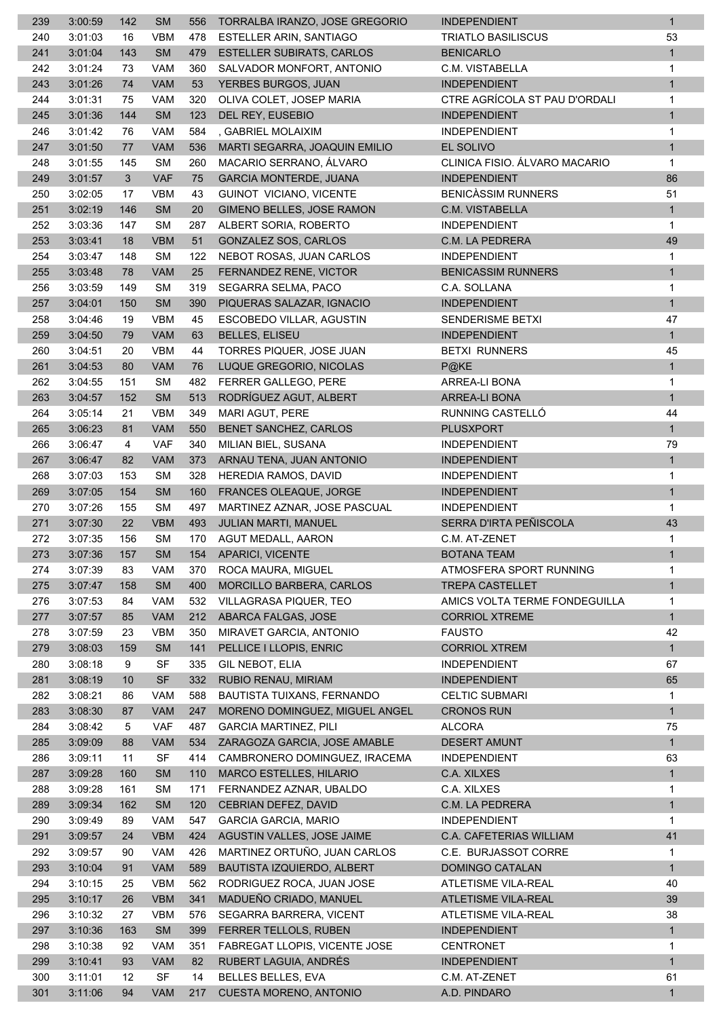| 239 | 3:00:59 | 142 | <b>SM</b>              | 556 | TORRALBA IRANZO, JOSE GREGORIO   | <b>INDEPENDIENT</b>           | $\mathbf{1}$ |
|-----|---------|-----|------------------------|-----|----------------------------------|-------------------------------|--------------|
| 240 | 3:01:03 | 16  | <b>VBM</b>             | 478 | ESTELLER ARIN, SANTIAGO          | <b>TRIATLO BASILISCUS</b>     | 53           |
| 241 | 3:01:04 | 143 | <b>SM</b>              | 479 | <b>ESTELLER SUBIRATS, CARLOS</b> | <b>BENICARLO</b>              | $\mathbf{1}$ |
| 242 | 3:01:24 | 73  | <b>VAM</b>             | 360 | SALVADOR MONFORT, ANTONIO        | C.M. VISTABELLA               | 1            |
| 243 | 3:01:26 | 74  | <b>VAM</b>             | 53  | YERBES BURGOS, JUAN              | <b>INDEPENDIENT</b>           | $\mathbf{1}$ |
| 244 | 3:01:31 | 75  | <b>VAM</b>             | 320 | OLIVA COLET, JOSEP MARIA         | CTRE AGRÍCOLA ST PAU D'ORDALI | 1            |
| 245 | 3:01:36 | 144 | <b>SM</b>              | 123 | DEL REY, EUSEBIO                 | <b>INDEPENDIENT</b>           | $\mathbf{1}$ |
| 246 | 3:01:42 | 76  | <b>VAM</b>             | 584 | , GABRIEL MOLAIXIM               | <b>INDEPENDIENT</b>           | $\mathbf{1}$ |
| 247 | 3:01:50 | 77  | <b>VAM</b>             | 536 | MARTI SEGARRA, JOAQUIN EMILIO    | EL SOLIVO                     | $\mathbf{1}$ |
| 248 | 3:01:55 | 145 | <b>SM</b>              | 260 | MACARIO SERRANO, ÁLVARO          | CLINICA FISIO. ÁLVARO MACARIO | $\mathbf{1}$ |
| 249 | 3:01:57 | 3   | <b>VAF</b>             | 75  | <b>GARCIA MONTERDE, JUANA</b>    | <b>INDEPENDIENT</b>           | 86           |
| 250 | 3:02:05 | 17  | <b>VBM</b>             | 43  | GUINOT VICIANO, VICENTE          | <b>BENICASSIM RUNNERS</b>     | 51           |
| 251 | 3:02:19 | 146 | <b>SM</b>              | 20  | <b>GIMENO BELLES, JOSE RAMON</b> | C.M. VISTABELLA               | $\mathbf{1}$ |
| 252 | 3:03:36 | 147 | <b>SM</b>              | 287 | ALBERT SORIA, ROBERTO            | <b>INDEPENDIENT</b>           | $\mathbf{1}$ |
| 253 | 3:03:41 | 18  | <b>VBM</b>             | 51  | GONZALEZ SOS, CARLOS             | C.M. LA PEDRERA               | 49           |
|     |         |     |                        |     |                                  | <b>INDEPENDIENT</b>           |              |
| 254 | 3:03:47 | 148 | <b>SM</b>              | 122 | NEBOT ROSAS, JUAN CARLOS         |                               | 1            |
| 255 | 3:03:48 | 78  | <b>VAM</b>             | 25  | FERNANDEZ RENE, VICTOR           | <b>BENICASSIM RUNNERS</b>     | $\mathbf{1}$ |
| 256 | 3:03:59 | 149 | <b>SM</b>              | 319 | SEGARRA SELMA, PACO              | C.A. SOLLANA                  | 1            |
| 257 | 3:04:01 | 150 | <b>SM</b>              | 390 | PIQUERAS SALAZAR, IGNACIO        | <b>INDEPENDIENT</b>           | $\mathbf{1}$ |
| 258 | 3:04:46 | 19  | <b>VBM</b>             | 45  | ESCOBEDO VILLAR, AGUSTIN         | <b>SENDERISME BETXI</b>       | 47           |
| 259 | 3:04:50 | 79  | VAM                    | 63  | <b>BELLES, ELISEU</b>            | <b>INDEPENDIENT</b>           | 1            |
| 260 | 3:04:51 | 20  | <b>VBM</b>             | 44  | TORRES PIQUER, JOSE JUAN         | <b>BETXI RUNNERS</b>          | 45           |
| 261 | 3:04:53 | 80  | <b>VAM</b>             | 76  | LUQUE GREGORIO, NICOLAS          | $P@$ KE                       | $\mathbf{1}$ |
| 262 | 3:04:55 | 151 | <b>SM</b>              | 482 | FERRER GALLEGO, PERE             | ARREA-LI BONA                 | $\mathbf{1}$ |
| 263 | 3:04:57 | 152 | <b>SM</b>              | 513 | RODRÍGUEZ AGUT, ALBERT           | <b>ARREA-LI BONA</b>          | $\mathbf{1}$ |
| 264 | 3:05:14 | 21  | <b>VBM</b>             | 349 | MARI AGUT, PERE                  | RUNNING CASTELLÓ              | 44           |
| 265 | 3:06:23 | 81  | <b>VAM</b>             | 550 | BENET SANCHEZ, CARLOS            | <b>PLUSXPORT</b>              | 1            |
| 266 | 3:06:47 | 4   | <b>VAF</b>             | 340 | MILIAN BIEL, SUSANA              | <b>INDEPENDIENT</b>           | 79           |
| 267 | 3:06:47 | 82  | <b>VAM</b>             | 373 | ARNAU TENA, JUAN ANTONIO         | <b>INDEPENDIENT</b>           | $\mathbf{1}$ |
| 268 | 3:07:03 | 153 | <b>SM</b>              | 328 | HEREDIA RAMOS, DAVID             | <b>INDEPENDIENT</b>           | $\mathbf{1}$ |
| 269 | 3:07:05 | 154 | <b>SM</b>              | 160 | FRANCES OLEAQUE, JORGE           | <b>INDEPENDIENT</b>           | $\mathbf{1}$ |
| 270 | 3:07:26 | 155 | <b>SM</b>              | 497 | MARTINEZ AZNAR, JOSE PASCUAL     | <b>INDEPENDIENT</b>           | $\mathbf 1$  |
| 271 | 3:07:30 | 22  | <b>VBM</b>             | 493 | JULIAN MARTI, MANUEL             | SERRA D'IRTA PEÑISCOLA        | 43           |
| 272 | 3:07:35 | 156 | <b>SM</b>              | 170 | <b>AGUT MEDALL, AARON</b>        | C.M. AT-ZENET                 | 1            |
| 273 | 3:07:36 | 157 | ${\sf SM}$             |     | 154 APARICI, VICENTE             | <b>BOTANA TEAM</b>            | $\mathbf{1}$ |
| 274 | 3:07:39 | 83  | VAM                    | 370 | ROCA MAURA, MIGUEL               | ATMOSFERA SPORT RUNNING       | 1            |
| 275 | 3:07:47 | 158 | <b>SM</b>              | 400 | MORCILLO BARBERA, CARLOS         | <b>TREPA CASTELLET</b>        | $\mathbf{1}$ |
| 276 | 3:07:53 | 84  | <b>VAM</b>             | 532 | <b>VILLAGRASA PIQUER, TEO</b>    | AMICS VOLTA TERME FONDEGUILLA | 1            |
| 277 | 3:07:57 | 85  | <b>VAM</b>             | 212 | ABARCA FALGAS, JOSE              | <b>CORRIOL XTREME</b>         | 1            |
| 278 | 3:07:59 | 23  | <b>VBM</b>             | 350 | MIRAVET GARCIA, ANTONIO          | <b>FAUSTO</b>                 | 42           |
| 279 | 3:08:03 | 159 | <b>SM</b>              | 141 | PELLICE I LLOPIS, ENRIC          | <b>CORRIOL XTREM</b>          | $\mathbf{1}$ |
| 280 | 3:08:18 | 9   | <b>SF</b>              | 335 | GIL NEBOT, ELIA                  | <b>INDEPENDIENT</b>           | 67           |
| 281 | 3:08:19 | 10  | <b>SF</b>              | 332 | RUBIO RENAU, MIRIAM              | <b>INDEPENDIENT</b>           | 65           |
| 282 | 3:08:21 | 86  | <b>VAM</b>             | 588 | BAUTISTA TUIXANS, FERNANDO       | <b>CELTIC SUBMARI</b>         | $\mathbf{1}$ |
| 283 | 3:08:30 | 87  | <b>VAM</b>             | 247 | MORENO DOMINGUEZ, MIGUEL ANGEL   | <b>CRONOS RUN</b>             | 1            |
| 284 | 3:08:42 | 5   | <b>VAF</b>             | 487 | <b>GARCIA MARTINEZ, PILI</b>     | <b>ALCORA</b>                 | 75           |
| 285 | 3:09:09 | 88  | <b>VAM</b>             | 534 | ZARAGOZA GARCIA, JOSE AMABLE     | <b>DESERT AMUNT</b>           | 1            |
|     |         |     |                        |     |                                  |                               |              |
| 286 | 3:09:11 | 11  | <b>SF</b>              | 414 | CAMBRONERO DOMINGUEZ, IRACEMA    | <b>INDEPENDIENT</b>           | 63           |
| 287 | 3:09:28 | 160 | <b>SM</b><br><b>SM</b> | 110 | MARCO ESTELLES, HILARIO          | C.A. XILXES                   | $\mathbf{1}$ |
| 288 | 3:09:28 | 161 |                        | 171 | FERNANDEZ AZNAR, UBALDO          | C.A. XILXES                   | 1            |
| 289 | 3:09:34 | 162 | <b>SM</b>              | 120 | CEBRIAN DEFEZ, DAVID             | C.M. LA PEDRERA               | $\mathbf{1}$ |
| 290 | 3:09:49 | 89  | <b>VAM</b>             | 547 | <b>GARCIA GARCIA, MARIO</b>      | <b>INDEPENDIENT</b>           | $\mathbf{1}$ |
| 291 | 3:09:57 | 24  | <b>VBM</b>             | 424 | AGUSTIN VALLES, JOSE JAIME       | C.A. CAFETERIAS WILLIAM       | 41           |
| 292 | 3:09:57 | 90  | <b>VAM</b>             | 426 | MARTINEZ ORTUÑO, JUAN CARLOS     | C.E. BURJASSOT CORRE          | 1            |
| 293 | 3:10:04 | 91  | <b>VAM</b>             | 589 | BAUTISTA IZQUIERDO, ALBERT       | DOMINGO CATALAN               | $\mathbf{1}$ |
| 294 | 3:10:15 | 25  | <b>VBM</b>             | 562 | RODRIGUEZ ROCA, JUAN JOSE        | ATLETISME VILA-REAL           | 40           |
| 295 | 3:10:17 | 26  | <b>VBM</b>             | 341 | MADUEÑO CRIADO, MANUEL           | ATLETISME VILA-REAL           | 39           |
| 296 | 3:10:32 | 27  | <b>VBM</b>             | 576 | SEGARRA BARRERA, VICENT          | ATLETISME VILA-REAL           | 38           |
| 297 | 3:10:36 | 163 | <b>SM</b>              | 399 | FERRER TELLOLS, RUBEN            | <b>INDEPENDIENT</b>           | $\mathbf{1}$ |
| 298 | 3:10:38 | 92  | VAM                    | 351 | FABREGAT LLOPIS, VICENTE JOSE    | <b>CENTRONET</b>              | 1            |
| 299 | 3:10:41 | 93  | <b>VAM</b>             | 82  | RUBERT LAGUIA, ANDRÉS            | <b>INDEPENDIENT</b>           | $\mathbf{1}$ |
| 300 | 3:11:01 | 12  | <b>SF</b>              | 14  | BELLES BELLES, EVA               | C.M. AT-ZENET                 | 61           |
| 301 | 3:11:06 | 94  | <b>VAM</b>             | 217 | CUESTA MORENO, ANTONIO           | A.D. PINDARO                  | 1            |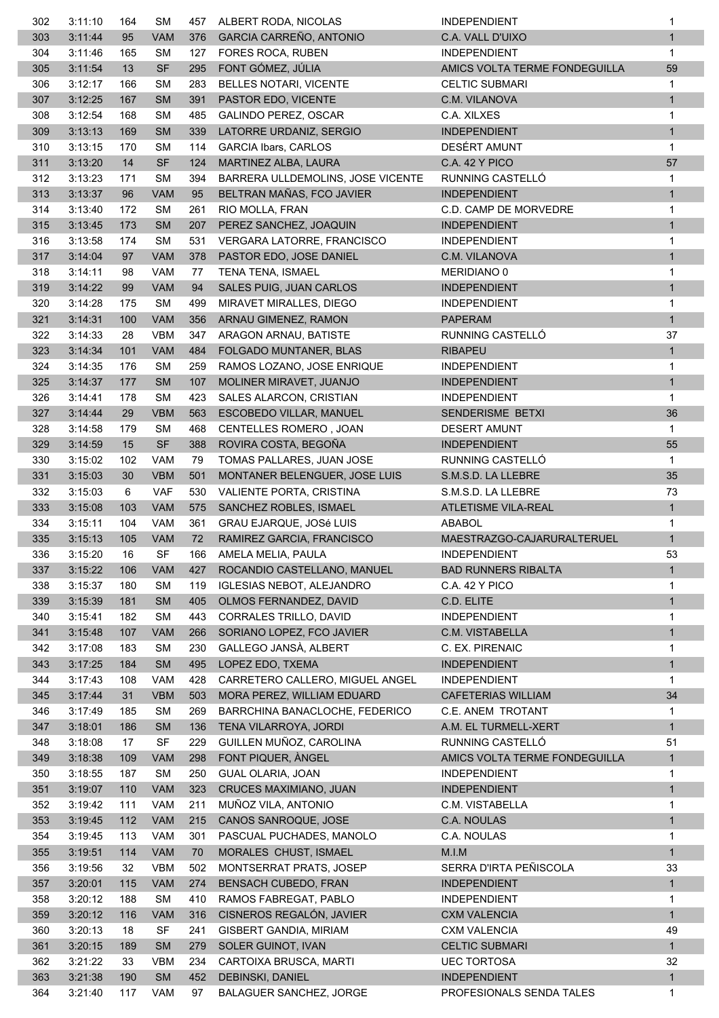| 302 | 3:11:10 | 164 | <b>SM</b>  | 457 | ALBERT RODA, NICOLAS              | <b>INDEPENDIENT</b>           | 1            |
|-----|---------|-----|------------|-----|-----------------------------------|-------------------------------|--------------|
| 303 | 3:11:44 | 95  | <b>VAM</b> | 376 | GARCIA CARREÑO, ANTONIO           | C.A. VALL D'UIXO              | $\mathbf{1}$ |
| 304 | 3:11:46 | 165 | <b>SM</b>  | 127 | FORES ROCA, RUBEN                 | <b>INDEPENDIENT</b>           | $\mathbf{1}$ |
| 305 | 3:11:54 | 13  | <b>SF</b>  | 295 | FONT GÓMEZ, JÚLIA                 | AMICS VOLTA TERME FONDEGUILLA | 59           |
| 306 | 3:12:17 | 166 | <b>SM</b>  | 283 | BELLES NOTARI, VICENTE            | <b>CELTIC SUBMARI</b>         | 1            |
| 307 | 3:12:25 | 167 | <b>SM</b>  | 391 | PASTOR EDO, VICENTE               | C.M. VILANOVA                 | $\mathbf{1}$ |
| 308 | 3:12:54 | 168 | <b>SM</b>  | 485 | <b>GALINDO PEREZ, OSCAR</b>       | C.A. XILXES                   | $\mathbf{1}$ |
| 309 | 3:13:13 | 169 | <b>SM</b>  | 339 | LATORRE URDANIZ, SERGIO           | <b>INDEPENDIENT</b>           | $\mathbf{1}$ |
| 310 | 3:13:15 | 170 | <b>SM</b>  | 114 | <b>GARCIA Ibars, CARLOS</b>       | DESÉRT AMUNT                  | 1            |
| 311 | 3:13:20 | 14  | <b>SF</b>  | 124 | MARTINEZ ALBA, LAURA              | <b>C.A. 42 Y PICO</b>         | 57           |
| 312 | 3:13:23 | 171 | <b>SM</b>  | 394 | BARRERA ULLDEMOLINS, JOSE VICENTE | RUNNING CASTELLÓ              | 1            |
| 313 | 3:13:37 | 96  | <b>VAM</b> | 95  | BELTRAN MAÑAS, FCO JAVIER         | <b>INDEPENDIENT</b>           | $\mathbf{1}$ |
| 314 | 3:13:40 | 172 | <b>SM</b>  | 261 | RIO MOLLA, FRAN                   | C.D. CAMP DE MORVEDRE         | 1            |
| 315 | 3:13:45 | 173 | <b>SM</b>  | 207 | PEREZ SANCHEZ, JOAQUIN            | <b>INDEPENDIENT</b>           | 1            |
| 316 | 3:13:58 | 174 | <b>SM</b>  | 531 | VERGARA LATORRE, FRANCISCO        | <b>INDEPENDIENT</b>           | 1            |
| 317 | 3:14:04 | 97  | <b>VAM</b> | 378 | PASTOR EDO, JOSE DANIEL           | C.M. VILANOVA                 | $\mathbf{1}$ |
|     |         | 98  | <b>VAM</b> |     |                                   |                               |              |
| 318 | 3:14:11 |     |            | 77  | <b>TENA TENA, ISMAEL</b>          | MERIDIANO 0                   | 1            |
| 319 | 3:14:22 | 99  | <b>VAM</b> | 94  | SALES PUIG, JUAN CARLOS           | <b>INDEPENDIENT</b>           | $\mathbf{1}$ |
| 320 | 3:14:28 | 175 | <b>SM</b>  | 499 | MIRAVET MIRALLES, DIEGO           | <b>INDEPENDIENT</b>           | 1            |
| 321 | 3:14:31 | 100 | <b>VAM</b> | 356 | ARNAU GIMENEZ, RAMON              | <b>PAPERAM</b>                | $\mathbf{1}$ |
| 322 | 3:14:33 | 28  | <b>VBM</b> | 347 | ARAGON ARNAU, BATISTE             | RUNNING CASTELLÓ              | 37           |
| 323 | 3:14:34 | 101 | <b>VAM</b> | 484 | FOLGADO MUNTANER, BLAS            | <b>RIBAPEU</b>                | $\mathbf{1}$ |
| 324 | 3:14:35 | 176 | SM         | 259 | RAMOS LOZANO, JOSE ENRIQUE        | <b>INDEPENDIENT</b>           | 1            |
| 325 | 3:14:37 | 177 | <b>SM</b>  | 107 | MOLINER MIRAVET, JUANJO           | <b>INDEPENDIENT</b>           | $\mathbf{1}$ |
| 326 | 3:14:41 | 178 | <b>SM</b>  | 423 | SALES ALARCON, CRISTIAN           | <b>INDEPENDIENT</b>           | 1            |
| 327 | 3:14:44 | 29  | <b>VBM</b> | 563 | ESCOBEDO VILLAR, MANUEL           | SENDERISME BETXI              | 36           |
| 328 | 3:14:58 | 179 | <b>SM</b>  | 468 | <b>CENTELLES ROMERO, JOAN</b>     | <b>DESERT AMUNT</b>           | $\mathbf{1}$ |
| 329 | 3:14:59 | 15  | <b>SF</b>  | 388 | ROVIRA COSTA, BEGOÑA              | <b>INDEPENDIENT</b>           | 55           |
| 330 | 3:15:02 | 102 | <b>VAM</b> | 79  | TOMAS PALLARES, JUAN JOSE         | RUNNING CASTELLÓ              | 1            |
| 331 | 3:15:03 | 30  | <b>VBM</b> | 501 | MONTANER BELENGUER, JOSE LUIS     | S.M.S.D. LA LLEBRE            | 35           |
| 332 | 3:15:03 | 6   | <b>VAF</b> | 530 | VALIENTE PORTA, CRISTINA          | S.M.S.D. LA LLEBRE            | 73           |
| 333 | 3:15:08 | 103 | <b>VAM</b> | 575 | SANCHEZ ROBLES, ISMAEL            | ATLETISME VILA-REAL           | $\mathbf{1}$ |
| 334 | 3:15:11 | 104 | <b>VAM</b> | 361 | <b>GRAU EJARQUE, JOSé LUIS</b>    | ABABOL                        | 1            |
| 335 | 3:15:13 | 105 | <b>VAM</b> | 72  | RAMIREZ GARCIA, FRANCISCO         | MAESTRAZGO-CAJARURALTERUEL    | $\mathbf{1}$ |
| 336 | 3:15:20 | 16  | SF         | 166 | AMELA MELIA, PAULA                | <b>INDEPENDIENT</b>           | 53           |
| 337 | 3:15:22 | 106 | <b>VAM</b> | 427 | ROCANDIO CASTELLANO, MANUEL       | <b>BAD RUNNERS RIBALTA</b>    | $\mathbf{1}$ |
| 338 | 3:15:37 | 180 | <b>SM</b>  | 119 | <b>IGLESIAS NEBOT, ALEJANDRO</b>  | C.A. 42 Y PICO                | 1            |
| 339 | 3:15:39 | 181 | <b>SM</b>  | 405 | OLMOS FERNANDEZ, DAVID            | C.D. ELITE                    | $\mathbf{1}$ |
| 340 | 3:15:41 | 182 | <b>SM</b>  | 443 | CORRALES TRILLO, DAVID            | <b>INDEPENDIENT</b>           | 1            |
| 341 | 3:15:48 | 107 | <b>VAM</b> | 266 | SORIANO LOPEZ, FCO JAVIER         | C.M. VISTABELLA               | $\mathbf{1}$ |
| 342 | 3:17:08 | 183 | <b>SM</b>  | 230 | GALLEGO JANSÀ, ALBERT             | C. EX. PIRENAIC               | 1            |
| 343 | 3:17:25 | 184 | SM         | 495 | LOPEZ EDO, TXEMA                  | <b>INDEPENDIENT</b>           | $\mathbf{1}$ |
|     |         |     | <b>VAM</b> |     |                                   |                               |              |
| 344 | 3:17:43 | 108 |            | 428 | CARRETERO CALLERO, MIGUEL ANGEL   | <b>INDEPENDIENT</b>           | 1            |
| 345 | 3:17:44 | 31  | <b>VBM</b> | 503 | MORA PEREZ, WILLIAM EDUARD        | <b>CAFETERIAS WILLIAM</b>     | 34           |
| 346 | 3:17:49 | 185 | <b>SM</b>  | 269 | BARRCHINA BANACLOCHE, FEDERICO    | C.E. ANEM TROTANT             | 1            |
| 347 | 3:18:01 | 186 | <b>SM</b>  | 136 | TENA VILARROYA, JORDI             | A.M. EL TURMELL-XERT          | $\mathbf{1}$ |
| 348 | 3:18:08 | 17  | <b>SF</b>  | 229 | GUILLEN MUÑOZ, CAROLINA           | RUNNING CASTELLÓ              | 51           |
| 349 | 3:18:38 | 109 | <b>VAM</b> | 298 | FONT PIQUER, ANGEL                | AMICS VOLTA TERME FONDEGUILLA | 1            |
| 350 | 3:18:55 | 187 | <b>SM</b>  | 250 | <b>GUAL OLARIA, JOAN</b>          | <b>INDEPENDIENT</b>           | 1            |
| 351 | 3:19:07 | 110 | <b>VAM</b> | 323 | CRUCES MAXIMIANO, JUAN            | <b>INDEPENDIENT</b>           | $\mathbf{1}$ |
| 352 | 3:19:42 | 111 | <b>VAM</b> | 211 | MUÑOZ VILA, ANTONIO               | C.M. VISTABELLA               | 1            |
| 353 | 3:19:45 | 112 | <b>VAM</b> | 215 | CANOS SANROQUE, JOSE              | C.A. NOULAS                   | $\mathbf{1}$ |
| 354 | 3:19:45 | 113 | <b>VAM</b> | 301 | PASCUAL PUCHADES, MANOLO          | C.A. NOULAS                   | 1            |
| 355 | 3:19:51 | 114 | <b>VAM</b> | 70  | MORALES CHUST, ISMAEL             | M.I.M                         | 1            |
| 356 | 3:19:56 | 32  | <b>VBM</b> | 502 | MONTSERRAT PRATS, JOSEP           | SERRA D'IRTA PEÑISCOLA        | 33           |
| 357 | 3:20:01 | 115 | <b>VAM</b> | 274 | BENSACH CUBEDO, FRAN              | <b>INDEPENDIENT</b>           | 1            |
| 358 | 3:20:12 | 188 | <b>SM</b>  | 410 | RAMOS FABREGAT, PABLO             | <b>INDEPENDIENT</b>           | 1            |
| 359 | 3:20:12 | 116 | <b>VAM</b> | 316 | CISNEROS REGALÓN, JAVIER          | <b>CXM VALENCIA</b>           | $\mathbf{1}$ |
| 360 | 3:20:13 | 18  | <b>SF</b>  | 241 | GISBERT GANDIA, MIRIAM            | <b>CXM VALENCIA</b>           | 49           |
| 361 | 3:20:15 | 189 | <b>SM</b>  | 279 | SOLER GUINOT, IVAN                | <b>CELTIC SUBMARI</b>         | 1            |
| 362 | 3:21:22 | 33  | <b>VBM</b> | 234 | CARTOIXA BRUSCA, MARTI            | <b>UEC TORTOSA</b>            | 32           |
| 363 | 3:21:38 | 190 | <b>SM</b>  | 452 | DEBINSKI, DANIEL                  | <b>INDEPENDIENT</b>           | $\mathbf{1}$ |
| 364 | 3:21:40 | 117 | <b>VAM</b> | 97  | <b>BALAGUER SANCHEZ, JORGE</b>    | PROFESIONALS SENDA TALES      | 1            |
|     |         |     |            |     |                                   |                               |              |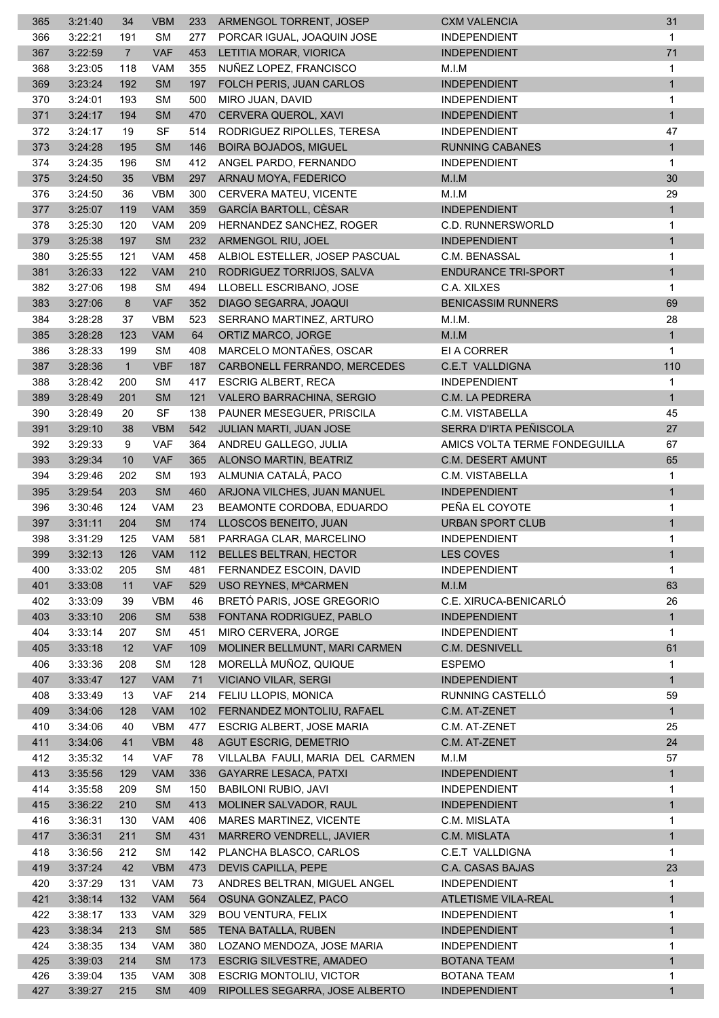| 365        | 3:21:40            | 34             | <b>VBM</b> | 233 | ARMENGOL TORRENT, JOSEP                                       | <b>CXM VALENCIA</b>                       | 31                |
|------------|--------------------|----------------|------------|-----|---------------------------------------------------------------|-------------------------------------------|-------------------|
| 366        | 3:22:21            | 191            | <b>SM</b>  | 277 | PORCAR IGUAL. JOAQUIN JOSE                                    | <b>INDEPENDIENT</b>                       | $\mathbf{1}$      |
| 367        | 3:22:59            | $\overline{7}$ | <b>VAF</b> | 453 | LETITIA MORAR, VIORICA                                        | <b>INDEPENDIENT</b>                       | 71                |
| 368        | 3:23:05            | 118            | VAM        | 355 | NUÑEZ LOPEZ, FRANCISCO                                        | M.I.M                                     | 1                 |
| 369        | 3:23:24            | 192            | <b>SM</b>  | 197 | FOLCH PERIS, JUAN CARLOS                                      | <b>INDEPENDIENT</b>                       | $\mathbf{1}$      |
| 370        | 3:24:01            | 193            | <b>SM</b>  | 500 | MIRO JUAN, DAVID                                              | <b>INDEPENDIENT</b>                       | 1                 |
| 371        | 3:24:17            | 194            | <b>SM</b>  | 470 | CERVERA QUEROL, XAVI                                          | <b>INDEPENDIENT</b>                       | $\mathbf{1}$      |
| 372        | 3:24:17            | 19             | <b>SF</b>  | 514 | RODRIGUEZ RIPOLLES, TERESA                                    | <b>INDEPENDIENT</b>                       | 47                |
| 373        | 3:24:28            | 195            | <b>SM</b>  | 146 | <b>BOIRA BOJADOS, MIGUEL</b>                                  | <b>RUNNING CABANES</b>                    | $\mathbf{1}$      |
| 374        | 3:24:35            | 196            | <b>SM</b>  | 412 | ANGEL PARDO, FERNANDO                                         | <b>INDEPENDIENT</b>                       | 1                 |
| 375        | 3:24:50            | 35             | <b>VBM</b> | 297 | ARNAU MOYA, FEDERICO                                          | M.I.M                                     | 30                |
| 376        | 3:24:50            | 36             | <b>VBM</b> | 300 | CERVERA MATEU, VICENTE                                        | M.I.M                                     | 29                |
| 377        | 3:25:07            | 119            | <b>VAM</b> | 359 | GARCÍA BARTOLL, CÈSAR                                         | <b>INDEPENDIENT</b>                       |                   |
|            |                    |                |            | 209 |                                                               |                                           | $\mathbf{1}$      |
| 378        | 3:25:30            | 120            | VAM        |     | HERNANDEZ SANCHEZ, ROGER                                      | C.D. RUNNERSWORLD                         | 1                 |
| 379        | 3:25:38            | 197            | <b>SM</b>  | 232 | ARMENGOL RIU, JOEL                                            | <b>INDEPENDIENT</b>                       | $\mathbf{1}$      |
| 380        | 3:25:55            | 121            | <b>VAM</b> | 458 | ALBIOL ESTELLER, JOSEP PASCUAL                                | C.M. BENASSAL                             | 1                 |
| 381        | 3:26:33            | 122            | <b>VAM</b> | 210 | RODRIGUEZ TORRIJOS, SALVA                                     | <b>ENDURANCE TRI-SPORT</b>                | $\mathbf{1}$      |
| 382        | 3:27:06            | 198            | <b>SM</b>  | 494 | LLOBELL ESCRIBANO, JOSE                                       | C.A. XILXES                               | 1                 |
| 383        | 3:27:06            | 8              | <b>VAF</b> | 352 | DIAGO SEGARRA, JOAQUI                                         | <b>BENICASSIM RUNNERS</b>                 | 69                |
| 384        | 3:28:28            | 37             | <b>VBM</b> | 523 | SERRANO MARTINEZ, ARTURO                                      | M.I.M.                                    | 28                |
| 385        | 3:28:28            | 123            | VAM        | 64  | ORTIZ MARCO, JORGE                                            | M.I.M                                     | 1                 |
| 386        | 3:28:33            | 199            | <b>SM</b>  | 408 | MARCELO MONTAÑES, OSCAR                                       | EI A CORRER                               | 1                 |
| 387        | 3:28:36            | $\overline{1}$ | <b>VBF</b> | 187 | CARBONELL FERRANDO, MERCEDES                                  | <b>C.E.T VALLDIGNA</b>                    | 110               |
| 388        | 3:28:42            | 200            | <b>SM</b>  | 417 | <b>ESCRIG ALBERT, RECA</b>                                    | <b>INDEPENDIENT</b>                       | 1                 |
| 389        | 3:28:49            | 201            | <b>SM</b>  | 121 | VALERO BARRACHINA, SERGIO                                     | C.M. LA PEDRERA                           | $\mathbf{1}$      |
| 390        | 3:28:49            | 20             | <b>SF</b>  | 138 | PAUNER MESEGUER, PRISCILA                                     | C.M. VISTABELLA                           | 45                |
| 391        | 3:29:10            | 38             | <b>VBM</b> | 542 | JULIAN MARTI, JUAN JOSE                                       | SERRA D'IRTA PEÑISCOLA                    | 27                |
| 392        | 3:29:33            | 9              | <b>VAF</b> | 364 | ANDREU GALLEGO, JULIA                                         | AMICS VOLTA TERME FONDEGUILLA             | 67                |
| 393        | 3:29:34            | 10             | <b>VAF</b> | 365 | ALONSO MARTIN, BEATRIZ                                        | C.M. DESERT AMUNT                         | 65                |
| 394        | 3:29:46            | 202            | <b>SM</b>  | 193 | ALMUNIA CATALÁ, PACO                                          | C.M. VISTABELLA                           | 1                 |
| 395        | 3:29:54            | 203            | <b>SM</b>  | 460 | ARJONA VILCHES, JUAN MANUEL                                   | <b>INDEPENDIENT</b>                       | 1                 |
| 396        | 3:30:46            | 124            | <b>VAM</b> | 23  | BEAMONTE CORDOBA, EDUARDO                                     | PEÑA EL COYOTE                            | 1                 |
| 397        | 3:31:11            | 204            | <b>SM</b>  | 174 | LLOSCOS BENEITO, JUAN                                         | URBAN SPORT CLUB                          | $\mathbf{1}$      |
| 398        | 3:31:29            | 125            | <b>VAM</b> | 581 | PARRAGA CLAR, MARCELINO                                       | <b>INDEPENDIENT</b>                       | 1                 |
| 399        | 3:32:13            | 126            | VAM        |     | 112 BELLES BELTRAN, HECTOR                                    | LES COVES                                 | $\mathbf{1}$      |
| 400        | 3:33:02            | 205            | SM         | 481 | FERNANDEZ ESCOIN, DAVID                                       | <b>INDEPENDIENT</b>                       | 1                 |
| 401        | 3:33:08            | 11             | VAF        | 529 | USO REYNES, MªCARMEN                                          | M.I.M                                     | 63                |
| 402        | 3:33:09            | 39             | <b>VBM</b> | 46  | BRETÓ PARIS, JOSE GREGORIO                                    | C.E. XIRUCA-BENICARLÓ                     | 26                |
| 403        | 3:33:10            | 206            | <b>SM</b>  | 538 | FONTANA RODRIGUEZ, PABLO                                      | <b>INDEPENDIENT</b>                       | $\mathbf{1}$      |
| 404        | 3:33:14            | 207            | <b>SM</b>  | 451 | MIRO CERVERA, JORGE                                           | <b>INDEPENDIENT</b>                       | $\mathbf{1}$      |
| 405        | 3:33:18            | 12             | <b>VAF</b> | 109 | MOLINER BELLMUNT, MARI CARMEN                                 | C.M. DESNIVELL                            | 61                |
| 406        | 3:33:36            | 208            | <b>SM</b>  | 128 | MORELLÀ MUÑOZ, QUIQUE                                         | <b>ESPEMO</b>                             | 1                 |
| 407        | 3:33:47            | 127            | <b>VAM</b> | 71  | <b>VICIANO VILAR, SERGI</b>                                   | <b>INDEPENDIENT</b>                       | $\mathbf{1}$      |
| 408        | 3:33:49            | 13             | <b>VAF</b> | 214 | FELIU LLOPIS, MONICA                                          | RUNNING CASTELLÓ                          | 59                |
| 409        | 3:34:06            | 128            | <b>VAM</b> | 102 | FERNANDEZ MONTOLIU, RAFAEL                                    | C.M. AT-ZENET                             | $\mathbf{1}$      |
| 410        | 3:34:06            | 40             | <b>VBM</b> | 477 | ESCRIG ALBERT, JOSE MARIA                                     | C.M. AT-ZENET                             | 25                |
| 411        | 3:34:06            | 41             | <b>VBM</b> | 48  | <b>AGUT ESCRIG, DEMETRIO</b>                                  | C.M. AT-ZENET                             | 24                |
| 412        | 3:35:32            | 14             | <b>VAF</b> | 78  | VILLALBA FAULI, MARIA DEL CARMEN                              | M.I.M                                     | 57                |
| 413        | 3:35:56            | 129            | <b>VAM</b> | 336 | <b>GAYARRE LESACA, PATXI</b>                                  | <b>INDEPENDIENT</b>                       | $\mathbf{1}$      |
| 414        | 3:35:58            | 209            | <b>SM</b>  | 150 | <b>BABILONI RUBIO, JAVI</b>                                   | <b>INDEPENDIENT</b>                       | 1                 |
| 415        | 3:36:22            | 210            | <b>SM</b>  | 413 | MOLINER SALVADOR, RAUL                                        | <b>INDEPENDIENT</b>                       | $\mathbf{1}$      |
| 416        | 3:36:31            | 130            | <b>VAM</b> | 406 | MARES MARTINEZ, VICENTE                                       | C.M. MISLATA                              | $\mathbf{1}$      |
| 417        | 3:36:31            | 211            | SM         | 431 | MARRERO VENDRELL, JAVIER                                      | C.M. MISLATA                              | $\mathbf{1}$      |
| 418        | 3:36:56            | 212            | <b>SM</b>  | 142 | PLANCHA BLASCO, CARLOS                                        | <b>C.E.T VALLDIGNA</b>                    | 1                 |
| 419        | 3:37:24            | 42             | <b>VBM</b> | 473 | DEVIS CAPILLA, PEPE                                           | C.A. CASAS BAJAS                          | 23                |
| 420        | 3:37:29            | 131            | <b>VAM</b> | 73  | ANDRES BELTRAN, MIGUEL ANGEL                                  | <b>INDEPENDIENT</b>                       | 1                 |
| 421        | 3:38:14            | 132            | VAM        | 564 | OSUNA GONZALEZ, PACO                                          | ATLETISME VILA-REAL                       | $\mathbf{1}$      |
| 422        | 3:38:17            | 133            | <b>VAM</b> | 329 | <b>BOU VENTURA, FELIX</b>                                     | <b>INDEPENDIENT</b>                       | 1                 |
| 423        | 3:38:34            | 213            | SM         | 585 | TENA BATALLA, RUBEN                                           | <b>INDEPENDIENT</b>                       | $\mathbf{1}$      |
|            |                    |                | <b>VAM</b> | 380 |                                                               |                                           |                   |
| 424<br>425 | 3:38:35<br>3:39:03 | 134<br>214     | <b>SM</b>  | 173 | LOZANO MENDOZA, JOSE MARIA<br><b>ESCRIG SILVESTRE, AMADEO</b> | <b>INDEPENDIENT</b><br><b>BOTANA TEAM</b> | 1<br>$\mathbf{1}$ |
| 426        | 3:39:04            | 135            | <b>VAM</b> | 308 | <b>ESCRIG MONTOLIU, VICTOR</b>                                | <b>BOTANA TEAM</b>                        | 1                 |
| 427        | 3:39:27            | 215            | <b>SM</b>  | 409 | RIPOLLES SEGARRA, JOSE ALBERTO                                | <b>INDEPENDIENT</b>                       | $\mathbf{1}$      |
|            |                    |                |            |     |                                                               |                                           |                   |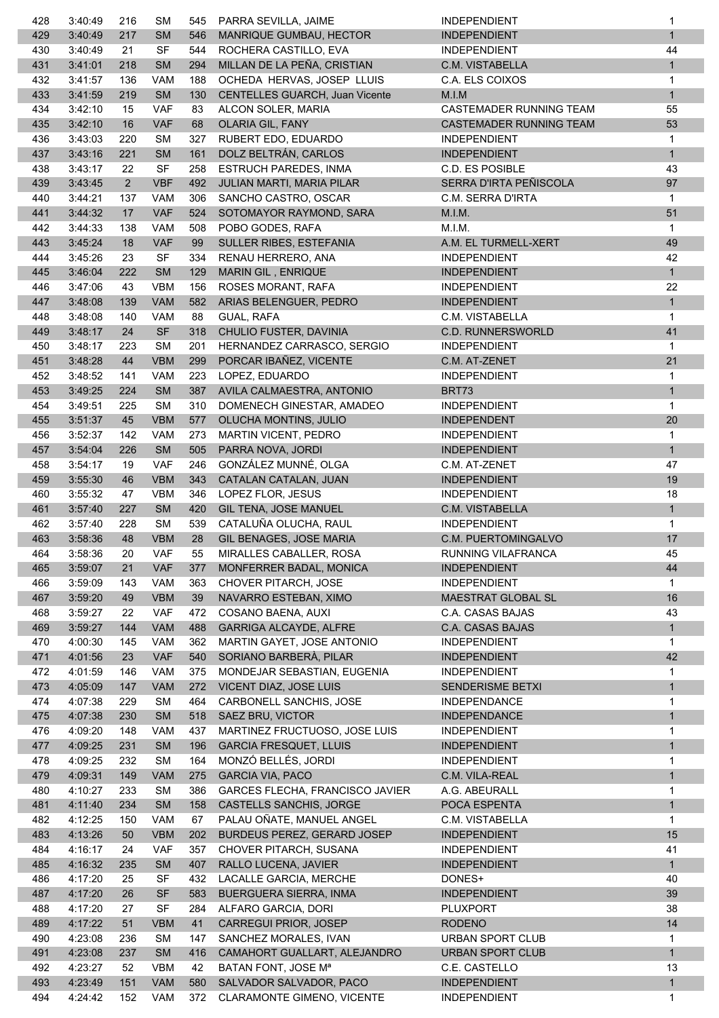| 428        | 3:40:49            | 216            | <b>SM</b>                | 545        | PARRA SEVILLA, JAIME                                  | <b>INDEPENDIENT</b>                        | 1                  |
|------------|--------------------|----------------|--------------------------|------------|-------------------------------------------------------|--------------------------------------------|--------------------|
| 429        | 3:40:49            | 217            | <b>SM</b>                | 546        | MANRIQUE GUMBAU, HECTOR                               | <b>INDEPENDIENT</b>                        | $\mathbf{1}$       |
| 430        | 3:40:49            | 21             | <b>SF</b>                | 544        | ROCHERA CASTILLO, EVA                                 | <b>INDEPENDIENT</b>                        | 44                 |
| 431        | 3:41:01            | 218            | <b>SM</b>                | 294        | MILLAN DE LA PEÑA, CRISTIAN                           | C.M. VISTABELLA                            | $\mathbf{1}$       |
| 432        | 3:41:57            | 136            | <b>VAM</b>               | 188        | OCHEDA HERVAS, JOSEP LLUIS                            | C.A. ELS COIXOS                            | 1                  |
| 433        | 3:41:59            | 219            | <b>SM</b>                | 130        | CENTELLES GUARCH, Juan Vicente                        | M.I.M                                      | $\mathbf{1}$       |
| 434        | 3:42:10            | 15             | <b>VAF</b>               | 83         | ALCON SOLER, MARIA                                    | CASTEMADER RUNNING TEAM                    | 55                 |
| 435        | 3:42:10            | 16             | <b>VAF</b>               | 68         | OLARIA GIL, FANY                                      | CASTEMADER RUNNING TEAM                    | 53                 |
| 436        | 3:43:03            | 220            | <b>SM</b>                | 327        | RUBERT EDO, EDUARDO                                   | <b>INDEPENDIENT</b>                        | $\mathbf 1$        |
| 437        | 3:43:16            | 221            | <b>SM</b>                | 161        | DOLZ BELTRÁN, CARLOS                                  | <b>INDEPENDIENT</b>                        | $\mathbf{1}$       |
| 438        | 3:43:17            | 22             | <b>SF</b>                | 258        | ESTRUCH PAREDES, INMA                                 | C.D. ES POSIBLE                            | 43                 |
| 439        | 3:43:45            | $\overline{2}$ | <b>VBF</b>               | 492        | JULIAN MARTI, MARIA PILAR                             | SERRA D'IRTA PEÑISCOLA                     | 97                 |
| 440        | 3:44:21            | 137            | <b>VAM</b>               | 306        | SANCHO CASTRO, OSCAR                                  | C.M. SERRA D'IRTA                          | 1                  |
| 441        | 3:44:32            | 17             | VAF                      | 524        | SOTOMAYOR RAYMOND, SARA                               | M.I.M.                                     | 51                 |
| 442        | 3:44:33            | 138            | VAM                      | 508        | POBO GODES, RAFA                                      | M.I.M.                                     | 1                  |
| 443        | 3:45:24            | 18             | <b>VAF</b>               | 99         | SULLER RIBES, ESTEFANIA                               | A.M. EL TURMELL-XERT                       | 49                 |
| 444        | 3:45:26            | 23             | <b>SF</b>                | 334        | RENAU HERRERO, ANA                                    | <b>INDEPENDIENT</b>                        | 42                 |
| 445        | 3:46:04            | 222            | <b>SM</b>                | 129        | MARIN GIL, ENRIQUE                                    | <b>INDEPENDIENT</b>                        | $\mathbf{1}$       |
| 446        | 3:47:06            | 43             | <b>VBM</b>               | 156        | ROSES MORANT, RAFA                                    | <b>INDEPENDIENT</b>                        | 22                 |
| 447        | 3:48:08            | 139            | <b>VAM</b>               | 582        | ARIAS BELENGUER, PEDRO                                | <b>INDEPENDIENT</b>                        | $\mathbf{1}$       |
| 448        | 3:48:08            | 140            | <b>VAM</b>               | 88         | GUAL, RAFA                                            | C.M. VISTABELLA                            | $\mathbf{1}$       |
| 449        | 3:48:17            | 24             | <b>SF</b>                | 318        | CHULIO FUSTER, DAVINIA                                | <b>C.D. RUNNERSWORLD</b>                   | 41                 |
| 450        | 3:48:17            | 223            | <b>SM</b>                | 201        | HERNANDEZ CARRASCO, SERGIO                            | <b>INDEPENDIENT</b>                        | 1                  |
| 451        | 3:48:28            | 44             | <b>VBM</b>               | 299        | PORCAR IBAÑEZ, VICENTE                                | C.M. AT-ZENET                              | 21                 |
| 452        | 3:48:52            | 141            | <b>VAM</b>               | 223        | LOPEZ, EDUARDO                                        | <b>INDEPENDIENT</b>                        | 1                  |
| 453        | 3:49:25            | 224            | SM                       | 387        | AVILA CALMAESTRA, ANTONIO                             | BRT73                                      | $\mathbf{1}$       |
| 454        | 3:49:51            | 225            | <b>SM</b>                | 310        | DOMENECH GINESTAR, AMADEO                             | <b>INDEPENDIENT</b>                        | 1                  |
| 455        | 3:51:37            | 45             | <b>VBM</b>               | 577        | OLUCHA MONTINS, JULIO                                 | <b>INDEPENDENT</b>                         | 20                 |
| 456        | 3:52:37            | 142            | <b>VAM</b>               | 273        | <b>MARTIN VICENT, PEDRO</b>                           | <b>INDEPENDIENT</b>                        | $\mathbf{1}$       |
| 457        | 3:54:04            | 226            | <b>SM</b>                | 505        | PARRA NOVA, JORDI                                     | <b>INDEPENDIENT</b>                        | $\mathbf{1}$       |
| 458        | 3:54:17            | 19             | <b>VAF</b>               | 246        | GONZÁLEZ MUNNÉ, OLGA                                  | C.M. AT-ZENET                              | 47                 |
| 459        | 3:55:30            | 46             | <b>VBM</b>               | 343        | CATALAN CATALAN, JUAN                                 | <b>INDEPENDIENT</b>                        | 19                 |
| 460        | 3:55:32            | 47             | <b>VBM</b>               | 346        | LOPEZ FLOR, JESUS                                     | <b>INDEPENDIENT</b>                        | 18                 |
| 461        | 3:57:40            | 227            | <b>SM</b>                | 420        | GIL TENA, JOSE MANUEL                                 | C.M. VISTABELLA                            | $\mathbf{1}$       |
| 462        | 3:57:40            | 228            | <b>SM</b>                | 539        | CATALUÑA OLUCHA, RAUL                                 | <b>INDEPENDIENT</b>                        | $\mathbf{1}$       |
| 463        | 3:58:36            | 48             | <b>VBM</b>               | 28         | GIL BENAGES, JOSE MARIA                               | C.M. PUERTOMINGALVO                        | 17                 |
| 464        | 3:58:36            | 20             | <b>VAF</b>               | 55         | MIRALLES CABALLER, ROSA                               | RUNNING VILAFRANCA                         | 45                 |
| 465        | 3:59:07            | 21             | <b>VAF</b>               | 377        | MONFERRER BADAL, MONICA                               | <b>INDEPENDIENT</b>                        | 44                 |
| 466        | 3:59:09            | 143            | <b>VAM</b>               | 363        | CHOVER PITARCH, JOSE                                  | <b>INDEPENDIENT</b>                        | 1                  |
| 467        | 3:59:20            | 49             | <b>VBM</b>               | 39         | NAVARRO ESTEBAN, XIMO                                 | MAESTRAT GLOBAL SL                         | 16                 |
| 468        | 3:59:27            | 22             | <b>VAF</b>               | 472        | COSANO BAENA, AUXI                                    | C.A. CASAS BAJAS                           | 43                 |
| 469        | 3:59:27            | 144            | <b>VAM</b>               | 488        | GARRIGA ALCAYDE, ALFRE                                | C.A. CASAS BAJAS                           | $\mathbf{1}$       |
| 470        | 4:00:30            | 145            | <b>VAM</b>               | 362        | MARTIN GAYET, JOSE ANTONIO                            | <b>INDEPENDIENT</b>                        | $\mathbf{1}$       |
| 471        | 4:01:56            | 23             | VAF                      | 540        | SORIANO BARBERÀ, PILAR                                | <b>INDEPENDIENT</b>                        | 42                 |
| 472        | 4:01:59            | 146            | <b>VAM</b>               | 375        | MONDEJAR SEBASTIAN, EUGENIA                           | <b>INDEPENDIENT</b>                        | 1                  |
| 473        | 4:05:09            | 147            | <b>VAM</b>               | 272        | VICENT DIAZ, JOSE LUIS                                | <b>SENDERISME BETXI</b>                    | $\mathbf{1}$       |
| 474        | 4:07:38            | 229            | <b>SM</b>                | 464        | CARBONELL SANCHIS, JOSE                               | <b>INDEPENDANCE</b>                        | 1                  |
| 475        | 4:07:38            | 230            | <b>SM</b>                | 518        | SAEZ BRU, VICTOR                                      | <b>INDEPENDANCE</b>                        | 1                  |
| 476        | 4:09:20            | 148            | <b>VAM</b>               | 437        | MARTINEZ FRUCTUOSO, JOSE LUIS                         | <b>INDEPENDIENT</b>                        | 1                  |
| 477        | 4:09:25            | 231            | SM                       | 196        | <b>GARCIA FRESQUET, LLUIS</b>                         | <b>INDEPENDIENT</b>                        | 1                  |
| 478        | 4:09:25            | 232            | <b>SM</b><br><b>VAM</b>  | 164        | MONZÓ BELLÉS, JORDI                                   | <b>INDEPENDIENT</b>                        | 1<br>1             |
| 479        | 4:09:31            | 149            |                          | 275        | <b>GARCIA VIA, PACO</b>                               | C.M. VILA-REAL                             |                    |
| 480        | 4:10:27            | 233            | <b>SM</b>                | 386        | GARCES FLECHA, FRANCISCO JAVIER                       | A.G. ABEURALL                              | 1                  |
| 481        | 4:11:40            | 234            | <b>SM</b>                | 158        | CASTELLS SANCHIS, JORGE                               | POCA ESPENTA                               | 1                  |
| 482        | 4:12:25<br>4:13:26 | 150            | <b>VAM</b><br><b>VBM</b> | 67         | PALAU OÑATE, MANUEL ANGEL                             | C.M. VISTABELLA                            | $\mathbf{1}$<br>15 |
| 483<br>484 | 4:16:17            | 50<br>24       | <b>VAF</b>               | 202<br>357 | BURDEUS PEREZ, GERARD JOSEP<br>CHOVER PITARCH, SUSANA | <b>INDEPENDIENT</b><br><b>INDEPENDIENT</b> | 41                 |
| 485        | 4:16:32            | 235            | SM                       | 407        | RALLO LUCENA, JAVIER                                  | <b>INDEPENDIENT</b>                        | $\mathbf{1}$       |
| 486        | 4:17:20            | 25             | <b>SF</b>                | 432        | LACALLE GARCIA, MERCHE                                | DONES+                                     | 40                 |
| 487        | 4:17:20            | 26             | <b>SF</b>                | 583        | BUERGUERA SIERRA, INMA                                | <b>INDEPENDIENT</b>                        | 39                 |
| 488        | 4:17:20            | 27             | <b>SF</b>                | 284        | ALFARO GARCIA, DORI                                   | <b>PLUXPORT</b>                            | 38                 |
| 489        | 4:17:22            | 51             | <b>VBM</b>               | 41         | CARREGUI PRIOR, JOSEP                                 | <b>RODENO</b>                              | 14                 |
| 490        | 4:23:08            | 236            | SM                       | 147        | SANCHEZ MORALES, IVAN                                 | URBAN SPORT CLUB                           | 1                  |
| 491        | 4:23:08            | 237            | <b>SM</b>                | 416        | CAMAHORT GUALLART, ALEJANDRO                          | <b>URBAN SPORT CLUB</b>                    | 1                  |
| 492        | 4:23:27            | 52             | <b>VBM</b>               | 42         | BATAN FONT, JOSE M <sup>a</sup>                       | C.E. CASTELLO                              | 13                 |
| 493        | 4:23:49            | 151            | <b>VAM</b>               | 580        | SALVADOR SALVADOR, PACO                               | <b>INDEPENDIENT</b>                        | $\mathbf{1}$       |
| 494        | 4:24:42            | 152            | VAM                      | 372        | CLARAMONTE GIMENO, VICENTE                            | <b>INDEPENDIENT</b>                        | 1                  |
|            |                    |                |                          |            |                                                       |                                            |                    |